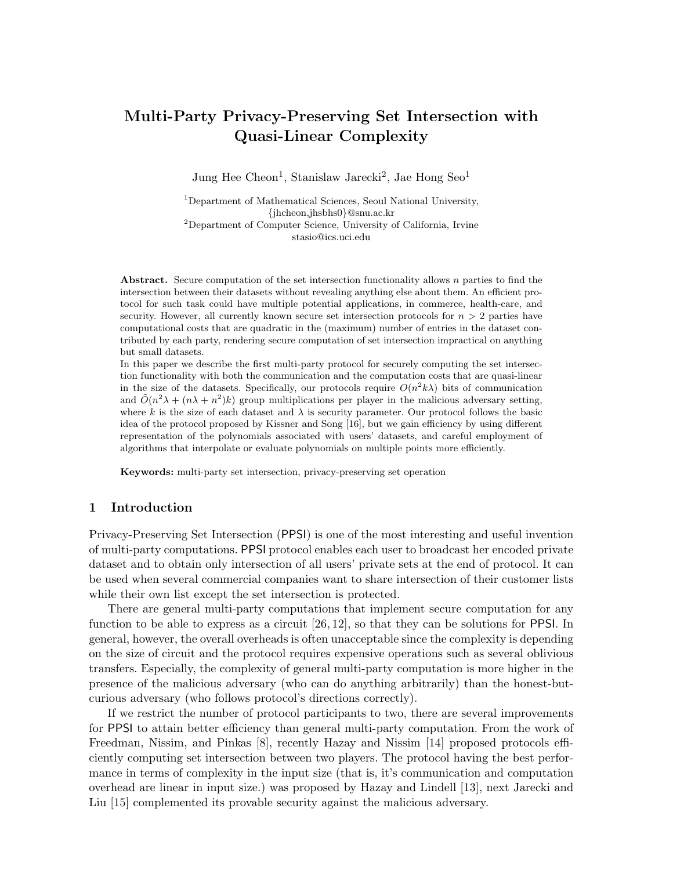# Multi-Party Privacy-Preserving Set Intersection with Quasi-Linear Complexity

Jung Hee Cheon<sup>1</sup>, Stanislaw Jarecki<sup>2</sup>, Jae Hong Seo<sup>1</sup>

<sup>1</sup>Department of Mathematical Sciences, Seoul National University, {jhcheon,jhsbhs0}@snu.ac.kr <sup>2</sup>Department of Computer Science, University of California, Irvine stasio@ics.uci.edu

Abstract. Secure computation of the set intersection functionality allows  $n$  parties to find the intersection between their datasets without revealing anything else about them. An efficient protocol for such task could have multiple potential applications, in commerce, health-care, and security. However, all currently known secure set intersection protocols for  $n > 2$  parties have computational costs that are quadratic in the (maximum) number of entries in the dataset contributed by each party, rendering secure computation of set intersection impractical on anything but small datasets.

In this paper we describe the first multi-party protocol for securely computing the set intersection functionality with both the communication and the computation costs that are quasi-linear in the size of the datasets. Specifically, our protocols require  $O(n^2 k\lambda)$  bits of communication and  $\tilde{O}(n^2\lambda + (n\lambda + n^2)k)$  group multiplications per player in the malicious adversary setting, where k is the size of each dataset and  $\lambda$  is security parameter. Our protocol follows the basic idea of the protocol proposed by Kissner and Song [16], but we gain efficiency by using different representation of the polynomials associated with users' datasets, and careful employment of algorithms that interpolate or evaluate polynomials on multiple points more efficiently.

Keywords: multi-party set intersection, privacy-preserving set operation

# 1 Introduction

Privacy-Preserving Set Intersection (PPSI) is one of the most interesting and useful invention of multi-party computations. PPSI protocol enables each user to broadcast her encoded private dataset and to obtain only intersection of all users' private sets at the end of protocol. It can be used when several commercial companies want to share intersection of their customer lists while their own list except the set intersection is protected.

There are general multi-party computations that implement secure computation for any function to be able to express as a circuit [26, 12], so that they can be solutions for PPSI. In general, however, the overall overheads is often unacceptable since the complexity is depending on the size of circuit and the protocol requires expensive operations such as several oblivious transfers. Especially, the complexity of general multi-party computation is more higher in the presence of the malicious adversary (who can do anything arbitrarily) than the honest-butcurious adversary (who follows protocol's directions correctly).

If we restrict the number of protocol participants to two, there are several improvements for PPSI to attain better efficiency than general multi-party computation. From the work of Freedman, Nissim, and Pinkas [8], recently Hazay and Nissim [14] proposed protocols efficiently computing set intersection between two players. The protocol having the best performance in terms of complexity in the input size (that is, it's communication and computation overhead are linear in input size.) was proposed by Hazay and Lindell [13], next Jarecki and Liu [15] complemented its provable security against the malicious adversary.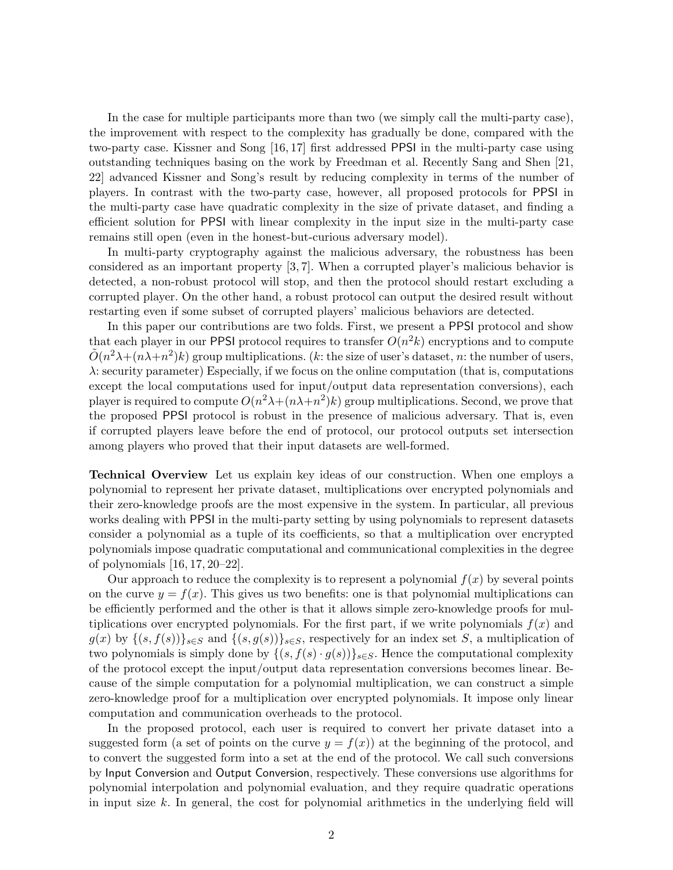In the case for multiple participants more than two (we simply call the multi-party case), the improvement with respect to the complexity has gradually be done, compared with the two-party case. Kissner and Song [16, 17] first addressed PPSI in the multi-party case using outstanding techniques basing on the work by Freedman et al. Recently Sang and Shen [21, 22] advanced Kissner and Song's result by reducing complexity in terms of the number of players. In contrast with the two-party case, however, all proposed protocols for PPSI in the multi-party case have quadratic complexity in the size of private dataset, and finding a efficient solution for PPSI with linear complexity in the input size in the multi-party case remains still open (even in the honest-but-curious adversary model).

In multi-party cryptography against the malicious adversary, the robustness has been considered as an important property [3, 7]. When a corrupted player's malicious behavior is detected, a non-robust protocol will stop, and then the protocol should restart excluding a corrupted player. On the other hand, a robust protocol can output the desired result without restarting even if some subset of corrupted players' malicious behaviors are detected.

In this paper our contributions are two folds. First, we present a PPSI protocol and show that each player in our **PPSI** protocol requires to transfer  $O(n^2k)$  encryptions and to compute  $\tilde{O}(n^2\lambda + (n\lambda + n^2)k)$  group multiplications. (k: the size of user's dataset, n: the number of users,  $\lambda$ : security parameter) Especially, if we focus on the online computation (that is, computations except the local computations used for input/output data representation conversions), each player is required to compute  $O(n^2\lambda + (n\lambda + n^2)k)$  group multiplications. Second, we prove that the proposed PPSI protocol is robust in the presence of malicious adversary. That is, even if corrupted players leave before the end of protocol, our protocol outputs set intersection among players who proved that their input datasets are well-formed.

Technical Overview Let us explain key ideas of our construction. When one employs a polynomial to represent her private dataset, multiplications over encrypted polynomials and their zero-knowledge proofs are the most expensive in the system. In particular, all previous works dealing with PPSI in the multi-party setting by using polynomials to represent datasets consider a polynomial as a tuple of its coefficients, so that a multiplication over encrypted polynomials impose quadratic computational and communicational complexities in the degree of polynomials [16, 17, 20–22].

Our approach to reduce the complexity is to represent a polynomial  $f(x)$  by several points on the curve  $y = f(x)$ . This gives us two benefits: one is that polynomial multiplications can be efficiently performed and the other is that it allows simple zero-knowledge proofs for multiplications over encrypted polynomials. For the first part, if we write polynomials  $f(x)$  and  $g(x)$  by  $\{(s, f(s))\}_{s\in\mathcal{S}}$  and  $\{(s, g(s))\}_{s\in\mathcal{S}}$ , respectively for an index set S, a multiplication of two polynomials is simply done by  $\{(s, f(s) \cdot g(s))\}_{s \in S}$ . Hence the computational complexity of the protocol except the input/output data representation conversions becomes linear. Because of the simple computation for a polynomial multiplication, we can construct a simple zero-knowledge proof for a multiplication over encrypted polynomials. It impose only linear computation and communication overheads to the protocol.

In the proposed protocol, each user is required to convert her private dataset into a suggested form (a set of points on the curve  $y = f(x)$ ) at the beginning of the protocol, and to convert the suggested form into a set at the end of the protocol. We call such conversions by Input Conversion and Output Conversion, respectively. These conversions use algorithms for polynomial interpolation and polynomial evaluation, and they require quadratic operations in input size  $k$ . In general, the cost for polynomial arithmetics in the underlying field will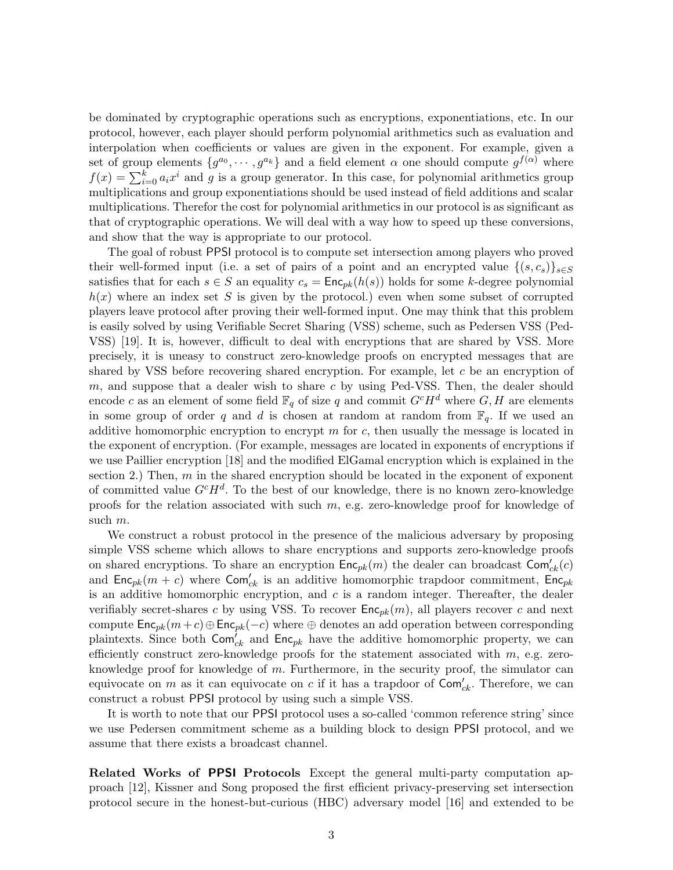be dominated by cryptographic operations such as encryptions, exponentiations, etc. In our protocol, however, each player should perform polynomial arithmetics such as evaluation and interpolation when coefficients or values are given in the exponent. For example, given a set of group elements  $\{g^{a_0}, \cdots, g^{a_k}\}$  and a field element  $\alpha$  one should compute  $g^{f(\alpha)}$  where  $f(x) = \sum_{i=0}^{k} a_i x^i$  and g is a group generator. In this case, for polynomial arithmetics group multiplications and group exponentiations should be used instead of field additions and scalar multiplications. Therefor the cost for polynomial arithmetics in our protocol is as significant as that of cryptographic operations. We will deal with a way how to speed up these conversions, and show that the way is appropriate to our protocol.

The goal of robust PPSI protocol is to compute set intersection among players who proved their well-formed input (i.e. a set of pairs of a point and an encrypted value  $\{(s, c_s)\}_{s\in S}$ satisfies that for each  $s \in S$  an equality  $c_s = \text{Enc}_{pk}(h(s))$  holds for some k-degree polynomial  $h(x)$  where an index set S is given by the protocol.) even when some subset of corrupted players leave protocol after proving their well-formed input. One may think that this problem is easily solved by using Verifiable Secret Sharing (VSS) scheme, such as Pedersen VSS (Ped-VSS) [19]. It is, however, difficult to deal with encryptions that are shared by VSS. More precisely, it is uneasy to construct zero-knowledge proofs on encrypted messages that are shared by VSS before recovering shared encryption. For example, let  $c$  be an encryption of  $m$ , and suppose that a dealer wish to share c by using Ped-VSS. Then, the dealer should encode c as an element of some field  $\mathbb{F}_q$  of size q and commit  $G^cH^d$  where  $G, H$  are elements in some group of order q and d is chosen at random at random from  $\mathbb{F}_q$ . If we used an additive homomorphic encryption to encrypt  $m$  for  $c$ , then usually the message is located in the exponent of encryption. (For example, messages are located in exponents of encryptions if we use Paillier encryption [18] and the modified ElGamal encryption which is explained in the section 2.) Then,  $m$  in the shared encryption should be located in the exponent of exponent of committed value  $G^cH^d$ . To the best of our knowledge, there is no known zero-knowledge proofs for the relation associated with such  $m$ , e.g. zero-knowledge proof for knowledge of such m.

We construct a robust protocol in the presence of the malicious adversary by proposing simple VSS scheme which allows to share encryptions and supports zero-knowledge proofs on shared encryptions. To share an encryption  $\mathsf{Enc}_{pk}(m)$  the dealer can broadcast  $\mathsf{Com}'_{ck}(c)$ and  $\mathsf{Enc}_{pk}(m+c)$  where  $\mathsf{Com}'_{ck}$  is an additive homomorphic trapdoor commitment,  $\mathsf{Enc}_{pk}$ is an additive homomorphic encryption, and  $c$  is a random integer. Thereafter, the dealer verifiably secret-shares c by using VSS. To recover  $\mathsf{Enc}_{pk}(m)$ , all players recover c and next compute  $\textsf{Enc}_{pk}(m+c) \oplus \textsf{Enc}_{pk}(-c)$  where  $\oplus$  denotes an add operation between corresponding plaintexts. Since both  $\textsf{Com}_{ck}^i$  and  $\textsf{Enc}_{pk}$  have the additive homomorphic property, we can efficiently construct zero-knowledge proofs for the statement associated with  $m$ , e.g. zeroknowledge proof for knowledge of  $m$ . Furthermore, in the security proof, the simulator can equivocate on m as it can equivocate on c if it has a trapdoor of  $\mathsf{Com}'_{ck}$ . Therefore, we can construct a robust PPSI protocol by using such a simple VSS.

It is worth to note that our PPSI protocol uses a so-called 'common reference string' since we use Pedersen commitment scheme as a building block to design PPSI protocol, and we assume that there exists a broadcast channel.

Related Works of PPSI Protocols Except the general multi-party computation approach [12], Kissner and Song proposed the first efficient privacy-preserving set intersection protocol secure in the honest-but-curious (HBC) adversary model [16] and extended to be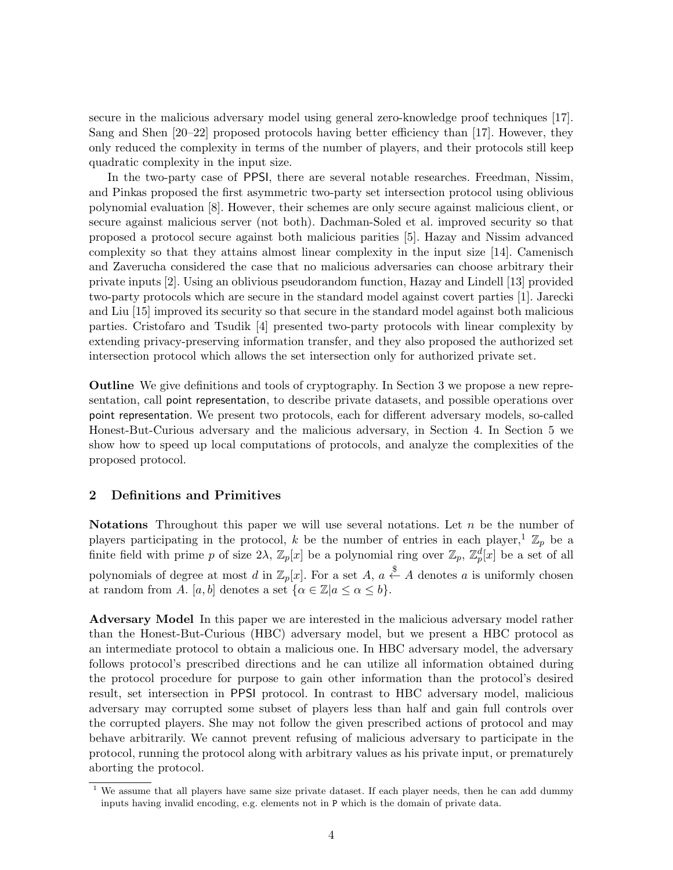secure in the malicious adversary model using general zero-knowledge proof techniques [17]. Sang and Shen [20–22] proposed protocols having better efficiency than [17]. However, they only reduced the complexity in terms of the number of players, and their protocols still keep quadratic complexity in the input size.

In the two-party case of PPSI, there are several notable researches. Freedman, Nissim, and Pinkas proposed the first asymmetric two-party set intersection protocol using oblivious polynomial evaluation [8]. However, their schemes are only secure against malicious client, or secure against malicious server (not both). Dachman-Soled et al. improved security so that proposed a protocol secure against both malicious parities [5]. Hazay and Nissim advanced complexity so that they attains almost linear complexity in the input size [14]. Camenisch and Zaverucha considered the case that no malicious adversaries can choose arbitrary their private inputs [2]. Using an oblivious pseudorandom function, Hazay and Lindell [13] provided two-party protocols which are secure in the standard model against covert parties [1]. Jarecki and Liu [15] improved its security so that secure in the standard model against both malicious parties. Cristofaro and Tsudik [4] presented two-party protocols with linear complexity by extending privacy-preserving information transfer, and they also proposed the authorized set intersection protocol which allows the set intersection only for authorized private set.

Outline We give definitions and tools of cryptography. In Section 3 we propose a new representation, call point representation, to describe private datasets, and possible operations over point representation. We present two protocols, each for different adversary models, so-called Honest-But-Curious adversary and the malicious adversary, in Section 4. In Section 5 we show how to speed up local computations of protocols, and analyze the complexities of the proposed protocol.

# 2 Definitions and Primitives

**Notations** Throughout this paper we will use several notations. Let  $n$  be the number of players participating in the protocol, k be the number of entries in each player,  $\mathbb{Z}_p$  be a finite field with prime p of size  $2\lambda$ ,  $\mathbb{Z}_p[x]$  be a polynomial ring over  $\mathbb{Z}_p$ ,  $\mathbb{Z}_p^d[x]$  be a set of all polynomials of degree at most d in  $\mathbb{Z}_p[x]$ . For a set  $A, a \stackrel{\$}{\leftarrow} A$  denotes a is uniformly chosen at random from A. [a, b] denotes a set  $\{\alpha \in \mathbb{Z} | a \leq \alpha \leq b\}.$ 

Adversary Model In this paper we are interested in the malicious adversary model rather than the Honest-But-Curious (HBC) adversary model, but we present a HBC protocol as an intermediate protocol to obtain a malicious one. In HBC adversary model, the adversary follows protocol's prescribed directions and he can utilize all information obtained during the protocol procedure for purpose to gain other information than the protocol's desired result, set intersection in PPSI protocol. In contrast to HBC adversary model, malicious adversary may corrupted some subset of players less than half and gain full controls over the corrupted players. She may not follow the given prescribed actions of protocol and may behave arbitrarily. We cannot prevent refusing of malicious adversary to participate in the protocol, running the protocol along with arbitrary values as his private input, or prematurely aborting the protocol.

<sup>&</sup>lt;sup>1</sup> We assume that all players have same size private dataset. If each player needs, then he can add dummy inputs having invalid encoding, e.g. elements not in P which is the domain of private data.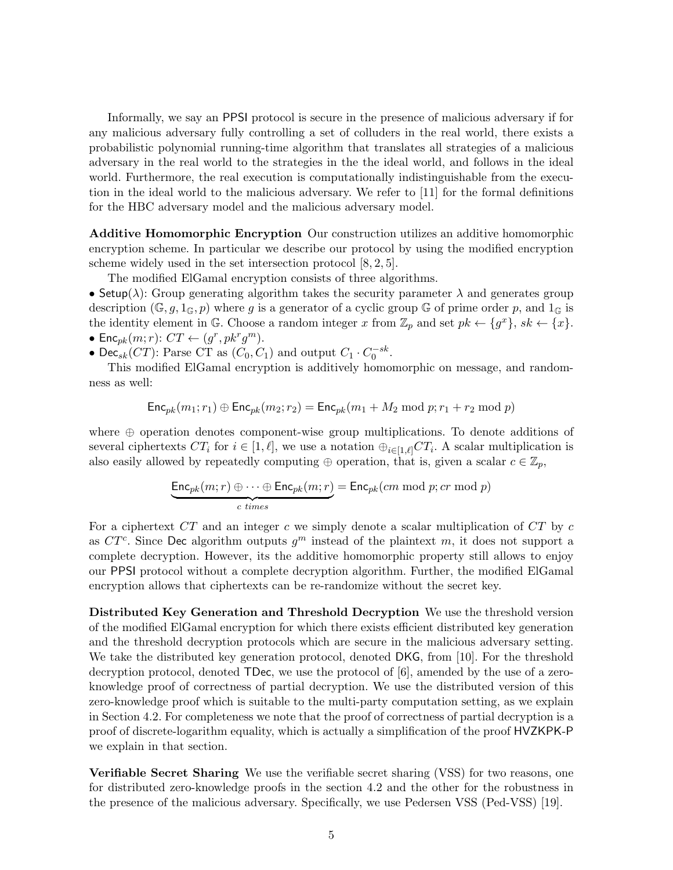Informally, we say an PPSI protocol is secure in the presence of malicious adversary if for any malicious adversary fully controlling a set of colluders in the real world, there exists a probabilistic polynomial running-time algorithm that translates all strategies of a malicious adversary in the real world to the strategies in the the ideal world, and follows in the ideal world. Furthermore, the real execution is computationally indistinguishable from the execution in the ideal world to the malicious adversary. We refer to [11] for the formal definitions for the HBC adversary model and the malicious adversary model.

Additive Homomorphic Encryption Our construction utilizes an additive homomorphic encryption scheme. In particular we describe our protocol by using the modified encryption scheme widely used in the set intersection protocol [8, 2, 5].

The modified ElGamal encryption consists of three algorithms.

• Setup( $\lambda$ ): Group generating algorithm takes the security parameter  $\lambda$  and generates group description  $(\mathbb{G}, g, 1_{\mathbb{G}}, p)$  where g is a generator of a cyclic group  $\mathbb{G}$  of prime order p, and  $1_{\mathbb{G}}$  is the identity element in G. Choose a random integer x from  $\mathbb{Z}_p$  and set  $pk \leftarrow \{g^x\}, sk \leftarrow \{x\}.$ • Enc<sub>pk</sub> $(m;r)$ :  $CT \leftarrow (g^r, pk^r g^m)$ .

• Dec<sub>sk</sub>(CT): Parse CT as  $(C_0, C_1)$  and output  $C_1 \cdot C_0^{-sk}$ .

This modified ElGamal encryption is additively homomorphic on message, and randomness as well:

$$
\mathsf{Enc}_{pk}(m_1;r_1) \oplus \mathsf{Enc}_{pk}(m_2;r_2) = \mathsf{Enc}_{pk}(m_1 + M_2 \bmod p; r_1 + r_2 \bmod p)
$$

where ⊕ operation denotes component-wise group multiplications. To denote additions of several ciphertexts  $CT_i$  for  $i \in [1, \ell],$  we use a notation  $\bigoplus_{i \in [1, \ell]} CT_i$ . A scalar multiplication is also easily allowed by repeatedly computing  $oplus$  operation, that is, given a scalar  $c \in \mathbb{Z}_p$ ,

$$
\underbrace{\mathsf{Enc}_{pk}(m;r) \oplus \cdots \oplus \mathsf{Enc}_{pk}(m;r)}_{c \ times} = \mathsf{Enc}_{pk}(cm \bmod p; cr \bmod p)
$$

For a ciphertext  $CT$  and an integer c we simply denote a scalar multiplication of  $CT$  by c as  $CT^c$ . Since Dec algorithm outputs  $g^m$  instead of the plaintext m, it does not support a complete decryption. However, its the additive homomorphic property still allows to enjoy our PPSI protocol without a complete decryption algorithm. Further, the modified ElGamal encryption allows that ciphertexts can be re-randomize without the secret key.

Distributed Key Generation and Threshold Decryption We use the threshold version of the modified ElGamal encryption for which there exists efficient distributed key generation and the threshold decryption protocols which are secure in the malicious adversary setting. We take the distributed key generation protocol, denoted DKG, from [10]. For the threshold decryption protocol, denoted TDec, we use the protocol of  $[6]$ , amended by the use of a zeroknowledge proof of correctness of partial decryption. We use the distributed version of this zero-knowledge proof which is suitable to the multi-party computation setting, as we explain in Section 4.2. For completeness we note that the proof of correctness of partial decryption is a proof of discrete-logarithm equality, which is actually a simplification of the proof HVZKPK-P we explain in that section.

Verifiable Secret Sharing We use the verifiable secret sharing (VSS) for two reasons, one for distributed zero-knowledge proofs in the section 4.2 and the other for the robustness in the presence of the malicious adversary. Specifically, we use Pedersen VSS (Ped-VSS) [19].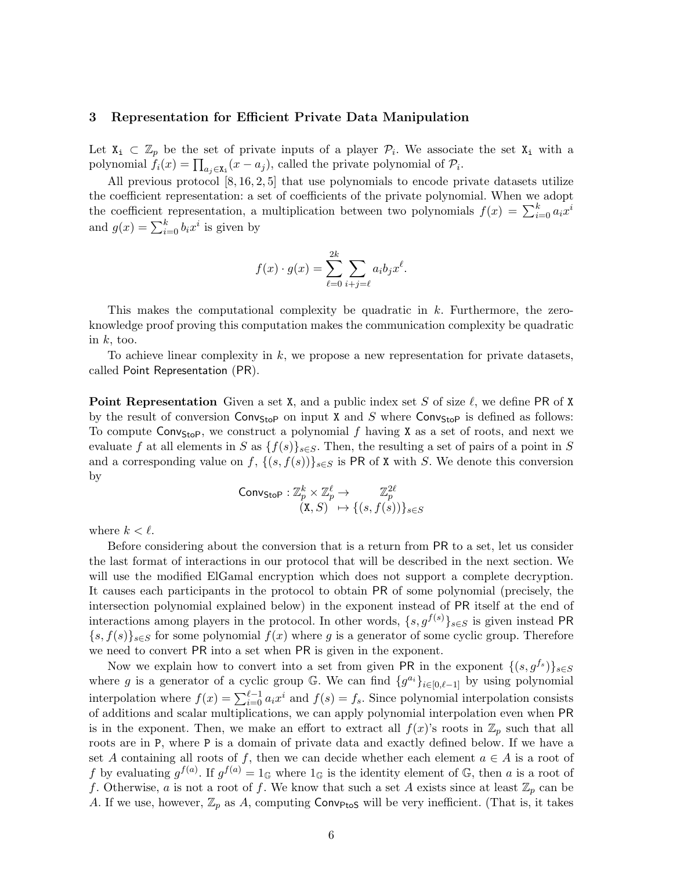#### 3 Representation for Efficient Private Data Manipulation

Let  $X_i \subset \mathbb{Z}_p$  be the set of private inputs of a player  $\mathcal{P}_i$ . We associate the set  $X_i$  with a polynomial  $f_i(x) = \prod_{a_j \in \mathbf{X_i}} (x - a_j)$ , called the private polynomial of  $\mathcal{P}_i$ .

All previous protocol  $[8, 16, 2, 5]$  that use polynomials to encode private datasets utilize the coefficient representation: a set of coefficients of the private polynomial. When we adopt the coefficient representation, a multiplication between two polynomials  $f(x) = \sum_{i=0}^{k} a_i x^i$ and  $g(x) = \sum_{i=0}^{k} b_i x^i$  is given by

$$
f(x) \cdot g(x) = \sum_{\ell=0}^{2k} \sum_{i+j=\ell} a_i b_j x^{\ell}.
$$

This makes the computational complexity be quadratic in k. Furthermore, the zeroknowledge proof proving this computation makes the communication complexity be quadratic in  $k$ , too.

To achieve linear complexity in  $k$ , we propose a new representation for private datasets, called Point Representation (PR).

**Point Representation** Given a set X, and a public index set S of size  $\ell$ , we define PR of X by the result of conversion  $Conv_{\text{StoP}}$  on input X and S where  $Conv_{\text{StoP}}$  is defined as follows: To compute Conv<sub>StoP</sub>, we construct a polynomial f having X as a set of roots, and next we evaluate f at all elements in S as  $\{f(s)\}_{s\in S}$ . Then, the resulting a set of pairs of a point in S and a corresponding value on f,  $\{(s, f(s))\}_{s\in S}$  is PR of X with S. We denote this conversion by

$$
\begin{array}{ccc}\n\text{Conv}_{\text{Stop}}: \mathbb{Z}_p^k \times \mathbb{Z}_p^\ell & \to & \mathbb{Z}_p^{2\ell} \\
(X, S) & \mapsto \{(s, f(s))\}_{s \in S}\n\end{array}
$$

where  $k < \ell$ .

Before considering about the conversion that is a return from PR to a set, let us consider the last format of interactions in our protocol that will be described in the next section. We will use the modified ElGamal encryption which does not support a complete decryption. It causes each participants in the protocol to obtain PR of some polynomial (precisely, the intersection polynomial explained below) in the exponent instead of PR itself at the end of interactions among players in the protocol. In other words,  $\{s, g^{f(s)}\}_{s\in S}$  is given instead PR  ${s, f(s)}_{s \in S}$  for some polynomial  $f(x)$  where g is a generator of some cyclic group. Therefore we need to convert PR into a set when PR is given in the exponent.

Now we explain how to convert into a set from given PR in the exponent  $\{(s, g^{f_s})\}_{s\in S}$ where g is a generator of a cyclic group  $\mathbb{G}$ . We can find  $\{g^{a_i}\}_{i\in[0,\ell-1]}$  by using polynomial interpolation where  $f(x) = \sum_{i=0}^{\ell-1} a_i x^i$  and  $f(s) = f_s$ . Since polynomial interpolation consists of additions and scalar multiplications, we can apply polynomial interpolation even when PR is in the exponent. Then, we make an effort to extract all  $f(x)$ 's roots in  $\mathbb{Z}_p$  such that all roots are in P, where P is a domain of private data and exactly defined below. If we have a set A containing all roots of f, then we can decide whether each element  $a \in A$  is a root of f by evaluating  $g^{f(a)}$ . If  $g^{f(a)} = 1_G$  where  $1_G$  is the identity element of G, then a is a root of f. Otherwise, a is not a root of f. We know that such a set A exists since at least  $\mathbb{Z}_p$  can be A. If we use, however,  $\mathbb{Z}_p$  as A, computing Conv<sub>PtoS</sub> will be very inefficient. (That is, it takes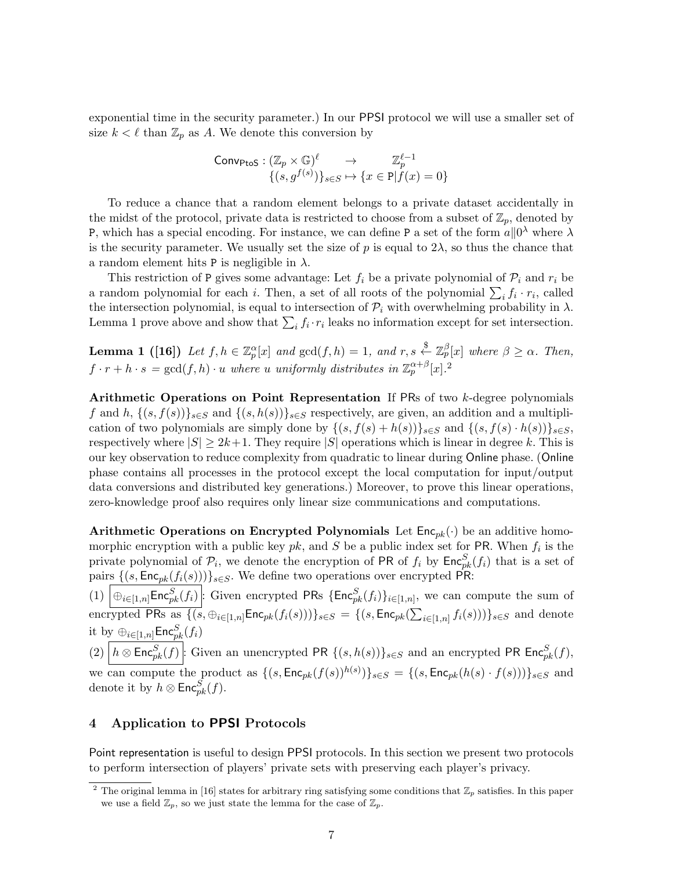exponential time in the security parameter.) In our PPSI protocol we will use a smaller set of size  $k < \ell$  than  $\mathbb{Z}_p$  as A. We denote this conversion by

$$
\begin{array}{ccc}\n\text{Conv}_{\text{PtoS}} : (\mathbb{Z}_p \times \mathbb{G})^{\ell} & \to & \mathbb{Z}_p^{\ell-1} \\
\{(s, g^{f(s)})\}_{s \in S} \mapsto \{x \in \text{P}|f(x) = 0\}\n\end{array}
$$

To reduce a chance that a random element belongs to a private dataset accidentally in the midst of the protocol, private data is restricted to choose from a subset of  $\mathbb{Z}_p$ , denoted by P, which has a special encoding. For instance, we can define P a set of the form  $a||0^{\lambda}$  where  $\lambda$ is the security parameter. We usually set the size of p is equal to  $2\lambda$ , so thus the chance that a random element hits P is negligible in  $\lambda$ .

This restriction of P gives some advantage: Let  $f_i$  be a private polynomial of  $\mathcal{P}_i$  and  $r_i$  be a random polynomial for each *i*. Then, a set of all roots of the polynomial  $\sum_i f_i \cdot r_i$ , called the intersection polynomial, is equal to intersection of  $\mathcal{P}_i$  with overwhelming probability in  $\lambda$ . Lemma 1 prove above and show that  $\sum_i f_i \cdot r_i$  leaks no information except for set intersection.

**Lemma 1** ([16]) Let  $f, h \in \mathbb{Z}_p^{\alpha}[x]$  and  $gcd(f, h) = 1$ , and  $r, s \stackrel{\$}{\leftarrow} \mathbb{Z}_p^{\beta}[x]$  where  $\beta \geq \alpha$ . Then,  $f \cdot r + h \cdot s = \gcd(f, h) \cdot u$  where u uniformly distributes in  $\mathbb{Z}_p^{\alpha+\beta}[x]$ .

Arithmetic Operations on Point Representation If PRs of two k-degree polynomials f and h,  $\{(s, f(s))\}_{s\in S}$  and  $\{(s, h(s))\}_{s\in S}$  respectively, are given, an addition and a multiplication of two polynomials are simply done by  $\{(s, f(s) + h(s))\}_{s \in S}$  and  $\{(s, f(s) \cdot h(s))\}_{s \in S}$ , respectively where  $|S| > 2k+1$ . They require  $|S|$  operations which is linear in degree k. This is our key observation to reduce complexity from quadratic to linear during Online phase. (Online phase contains all processes in the protocol except the local computation for input/output data conversions and distributed key generations.) Moreover, to prove this linear operations, zero-knowledge proof also requires only linear size communications and computations.

Arithmetic Operations on Encrypted Polynomials Let  $\mathsf{Enc}_{pk}(\cdot)$  be an additive homomorphic encryption with a public key  $pk$ , and S be a public index set for PR. When  $f_i$  is the private polynomial of  $\mathcal{P}_i$ , we denote the encryption of PR of  $f_i$  by  $\mathsf{Enc}^S_{pk}(f_i)$  that is a set of pairs  $\{(s, \text{Enc}_{pk}(f_i(s)))\}_{s \in S}$ . We define two operations over encrypted PR:

 $(1)$   $\big|\bigoplus_{i\in[1,n]} \textsf{Enc}^S_{pk}(f_i)\big|$ : Given encrypted PRs  $\{\textsf{Enc}^S_{pk}(f_i)\}_{i\in[1,n]}$ , we can compute the sum of encrypted PRs as  $\{(s,\oplus_{i\in [1,n]}{\sf Enc}_{pk}(f_i(s)))\}_{s\in S}=\{(s,{\sf Enc}_{pk}(\sum_{i\in [1,n]}f_i(s)))\}_{s\in S}$  and denote it by  $\oplus_{i\in [1,n]} {\sf Enc}_{pk}^S(f_i)$ 

(2)  $|h \otimes \mathsf{Enc}_{pk}^S(f)|$ : Given an unencrypted PR  $\{(s,h(s))\}_{s\in S}$  and an encrypted PR  $\mathsf{Enc}_{pk}^S(f)$ , we can compute the product as  $\{(s, \text{Enc}_{pk}(f(s))^{h(s)})\}_{s\in S} = \{(s, \text{Enc}_{pk}(h(s)\cdot f(s)))\}_{s\in S}$  and denote it by  $h \otimes \mathsf{Enc}^S_{pk}(f).$ 

# 4 Application to PPSI Protocols

Point representation is useful to design PPSI protocols. In this section we present two protocols to perform intersection of players' private sets with preserving each player's privacy.

<sup>&</sup>lt;sup>2</sup> The original lemma in [16] states for arbitrary ring satisfying some conditions that  $\mathbb{Z}_p$  satisfies. In this paper we use a field  $\mathbb{Z}_p$ , so we just state the lemma for the case of  $\mathbb{Z}_p$ .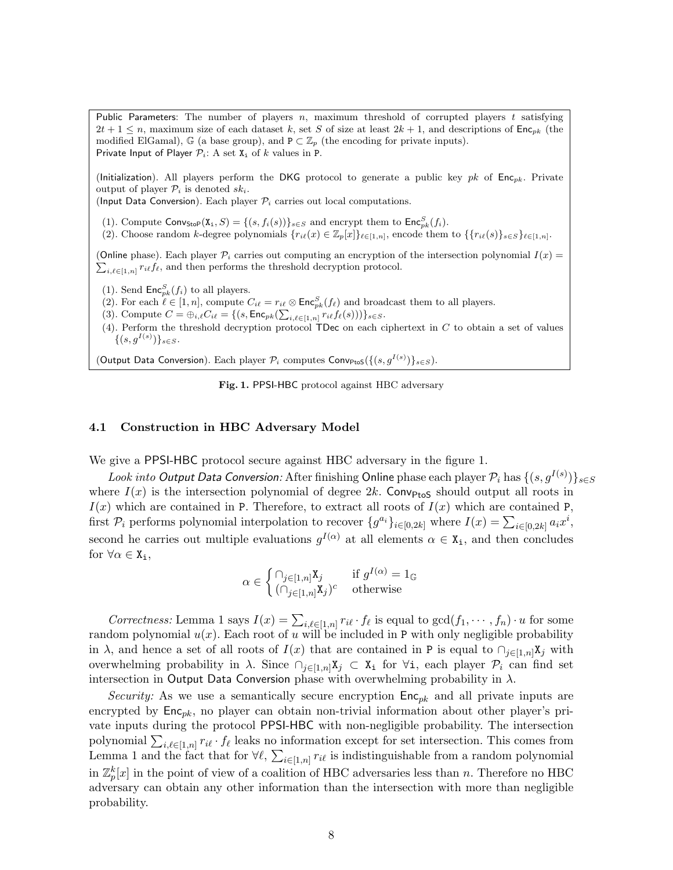Public Parameters: The number of players  $n$ , maximum threshold of corrupted players  $t$  satisfying  $2t + 1 \leq n$ , maximum size of each dataset k, set S of size at least  $2k + 1$ , and descriptions of Enc<sub>pk</sub> (the modified ElGamal), G (a base group), and  $P \subset \mathbb{Z}_p$  (the encoding for private inputs). Private Input of Player  $P_i$ : A set  $X_i$  of k values in P.

(Initialization). All players perform the DKG protocol to generate a public key pk of  $Enc_{nk}$ . Private output of player  $\mathcal{P}_i$  is denoted  $sk_i$ .

(Input Data Conversion). Each player  $P_i$  carries out local computations.

(1). Compute  $\textsf{Conv}_{\textsf{Stop}}(\textbf{X}_i, S) = \{(s, f_i(s))\}_{s \in S}$  and encrypt them to  $\textsf{Enc}^S_{pk}(f_i)$ .

(2). Choose random k-degree polynomials  $\{r_{i\ell}(x) \in \mathbb{Z}_p[x]\}_{\ell \in [1,n]}$ , encode them to  $\{\{r_{i\ell}(s)\}_{s\in S}\}_{\ell \in [1,n]}$ .

(Online phase). Each player  $\mathcal{P}_i$  carries out computing an encryption of the intersection polynomial  $I(x)$  =  $\sum_{i,\ell\in[1,n]} r_{i\ell} f_{\ell}$ , and then performs the threshold decryption protocol.

- (1). Send  $\mathsf{Enc}_{pk}^S(f_i)$  to all players.
- (2). For each  $\ell \in [1, n]$ , compute  $C_{i\ell} = r_{i\ell} \otimes \text{Enc}_{pk}^S(f_{\ell})$  and broadcast them to all players.
- (3). Compute  $C = \bigoplus_{i,\ell} C_{i\ell} = \{ (s, \text{Enc}_{pk}(\sum_{i,\ell \in [1,n]} r_{i\ell} f_{\ell}(s))) \}_{s \in S}$ .
- (4). Perform the threshold decryption protocol  $\overline{\text{TDec}}$  on each ciphertext in C to obtain a set of values  $\{(s,g^{I(s)})\}_{s\in S}.$

(Output Data Conversion). Each player  $\mathcal{P}_i$  computes Conv<sub>PtoS</sub>({(s, g<sup>I(s)</sup>)}<sub>s∈S</sub>).

Fig. 1. PPSI-HBC protocol against HBC adversary

#### 4.1 Construction in HBC Adversary Model

We give a PPSI-HBC protocol secure against HBC adversary in the figure 1.

Look into Output Data Conversion: After finishing Online phase each player  $\mathcal{P}_i$  has  $\{(s,g^{I(s)})\}_{s\in S}$ where  $I(x)$  is the intersection polynomial of degree 2k. Converted should output all roots in  $I(x)$  which are contained in P. Therefore, to extract all roots of  $I(x)$  which are contained P, first  $\mathcal{P}_i$  performs polynomial interpolation to recover  $\{g^{a_i}\}_{i\in[0,2k]}$  where  $I(x) = \sum_{i\in[0,2k]} a_i x^i$ , second he carries out multiple evaluations  $g^{I(\alpha)}$  at all elements  $\alpha \in \mathbf{X_i}$ , and then concludes for  $\forall \alpha \in \mathbf{X_i}$ ,

$$
\alpha \in \begin{cases} \bigcap_{j \in [1,n]} \mathbf{X}_j & \text{if } g^{I(\alpha)} = 1_{\mathbb{G}} \\ (\bigcap_{j \in [1,n]} \mathbf{X}_j)^c & \text{otherwise} \end{cases}
$$

Correctness: Lemma 1 says  $I(x) = \sum_{i,\ell \in [1,n]} r_{i\ell} \cdot f_{\ell}$  is equal to  $gcd(f_1, \dots, f_n) \cdot u$  for some random polynomial  $u(x)$ . Each root of u will be included in P with only negligible probability in  $\lambda$ , and hence a set of all roots of  $I(x)$  that are contained in P is equal to  $\bigcap_{j\in[1,n]}X_j$  with overwhelming probability in  $\lambda$ . Since  $\bigcap_{j\in[1,n]}X_j\subset X_i$  for  $\forall i$ , each player  $\mathcal{P}_i$  can find set intersection in Output Data Conversion phase with overwhelming probability in  $\lambda$ .

Security: As we use a semantically secure encryption  $Enc_{pk}$  and all private inputs are encrypted by  $Enc_{pk}$ , no player can obtain non-trivial information about other player's private inputs during the protocol PPSI-HBC with non-negligible probability. The intersection polynomial  $\sum_{i,\ell\in[1,n]} r_{i\ell} \cdot f_\ell$  leaks no information except for set intersection. This comes from Lemma 1 and the fact that for  $\forall \ell, \sum_{i\in [1,n]} r_{i\ell}$  is indistinguishable from a random polynomial in  $\mathbb{Z}_p^k[x]$  in the point of view of a coalition of HBC adversaries less than n. Therefore no HBC adversary can obtain any other information than the intersection with more than negligible probability.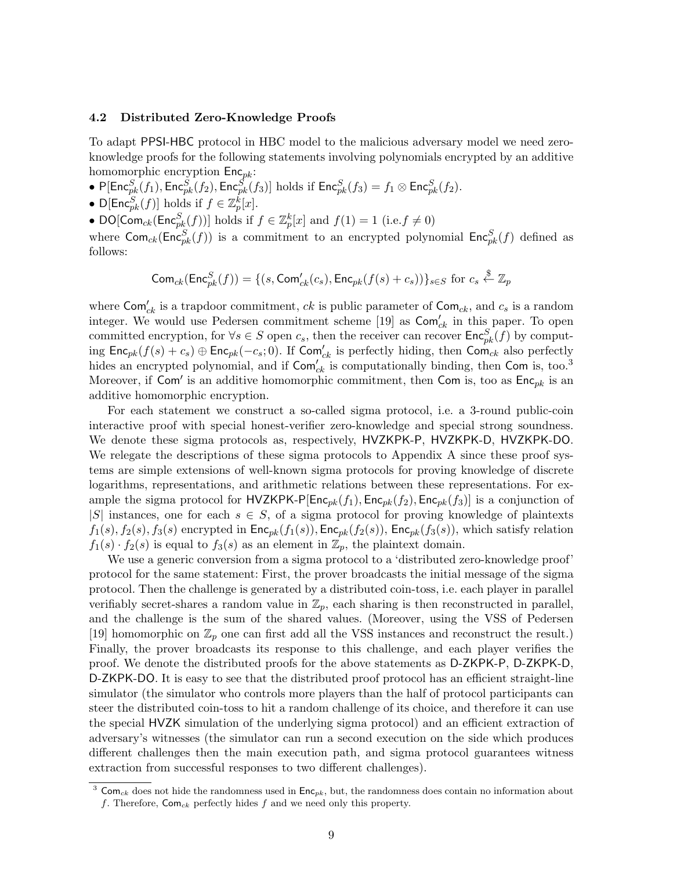#### 4.2 Distributed Zero-Knowledge Proofs

To adapt PPSI-HBC protocol in HBC model to the malicious adversary model we need zeroknowledge proofs for the following statements involving polynomials encrypted by an additive homomorphic encryption  $Enc_{pk}$ :

- P[Enc ${}_{pk}^S(f_1)$ , Enc ${}_{pk}^S(f_2)$ , Enc ${}_{pk}^S(f_3)$ ] holds if Enc ${}_{pk}^S(f_3) = f_1 \otimes \text{Enc}_{pk}^S(f_2)$ .
- D[Enc ${}_{pk}^{S}(f)$ ] holds if  $f \in \mathbb{Z}_{p}^{k}[x]$ .

• DO[ $\text{Com}_{ck}(\text{Enc}^S_{pk}(f))]$  holds if  $f \in \mathbb{Z}_p^k[x]$  and  $f(1) = 1$  (i.e.  $f \neq 0$ )

where  $\textsf{Com}_{ck}(\textsf{Enc}^S_{pk}(f))$  is a commitment to an encrypted polynomial  $\textsf{Enc}^S_{pk}(f)$  defined as follows:

$$
\mathsf{Com}_{ck}(\mathsf{Enc}_{pk}^S(f)) = \{ (s, \mathsf{Com}_{ck}'(c_s), \mathsf{Enc}_{pk}(f(s) + c_s)) \}_{s \in S} \text{ for } c_s \stackrel{\$}{\leftarrow} \mathbb{Z}_p
$$

where  $\mathsf{Com}'_{ck}$  is a trapdoor commitment,  $ck$  is public parameter of  $\mathsf{Com}_{ck}$ , and  $c_s$  is a random integer. We would use Pedersen commitment scheme [19] as  $\mathsf{Com}'_{ck}$  in this paper. To open committed encryption, for  $\forall s \in S$  open  $c_s$ , then the receiver can recover  $\mathsf{Enc}^S_{pk}(f)$  by computing  $\mathsf{Enc}_{pk}(f(s) + c_s) \oplus \mathsf{Enc}_{pk}(-c_s; 0)$ . If  $\mathsf{Com}'_{ck}$  is perfectly hiding, then  $\mathsf{Com}'_{ck}$  also perfectly hides an encrypted polynomial, and if  $\textsf{Com}'_{ck}$  is computationally binding, then Com is, too.<sup>3</sup> Moreover, if Com' is an additive homomorphic commitment, then Com is, too as  $\mathsf{Enc}_{pk}$  is an additive homomorphic encryption.

For each statement we construct a so-called sigma protocol, i.e. a 3-round public-coin interactive proof with special honest-verifier zero-knowledge and special strong soundness. We denote these sigma protocols as, respectively, HVZKPK-P, HVZKPK-D, HVZKPK-DO. We relegate the descriptions of these sigma protocols to Appendix A since these proof systems are simple extensions of well-known sigma protocols for proving knowledge of discrete logarithms, representations, and arithmetic relations between these representations. For example the sigma protocol for HVZKPK-P[Enc<sub>pk</sub> $(f_1)$ , Enc<sub>pk</sub> $(f_2)$ , Enc<sub>pk</sub> $(f_3)$ ] is a conjunction of |S| instances, one for each  $s \in S$ , of a sigma protocol for proving knowledge of plaintexts  $f_1(s), f_2(s), f_3(s)$  encrypted in  $\mathsf{Enc}_{pk}(f_1(s))$ ,  $\mathsf{Enc}_{pk}(f_2(s))$ ,  $\mathsf{Enc}_{pk}(f_3(s))$ , which satisfy relation  $f_1(s) \cdot f_2(s)$  is equal to  $f_3(s)$  as an element in  $\mathbb{Z}_p$ , the plaintext domain.

We use a generic conversion from a sigma protocol to a 'distributed zero-knowledge proof' protocol for the same statement: First, the prover broadcasts the initial message of the sigma protocol. Then the challenge is generated by a distributed coin-toss, i.e. each player in parallel verifiably secret-shares a random value in  $\mathbb{Z}_p$ , each sharing is then reconstructed in parallel, and the challenge is the sum of the shared values. (Moreover, using the VSS of Pedersen [19] homomorphic on  $\mathbb{Z}_p$  one can first add all the VSS instances and reconstruct the result.) Finally, the prover broadcasts its response to this challenge, and each player verifies the proof. We denote the distributed proofs for the above statements as D-ZKPK-P, D-ZKPK-D, D-ZKPK-DO. It is easy to see that the distributed proof protocol has an efficient straight-line simulator (the simulator who controls more players than the half of protocol participants can steer the distributed coin-toss to hit a random challenge of its choice, and therefore it can use the special HVZK simulation of the underlying sigma protocol) and an efficient extraction of adversary's witnesses (the simulator can run a second execution on the side which produces different challenges then the main execution path, and sigma protocol guarantees witness extraction from successful responses to two different challenges).

<sup>&</sup>lt;sup>3</sup> Com<sub>ck</sub> does not hide the randomness used in  $Enc_{pk}$ , but, the randomness does contain no information about f. Therefore,  $\mathsf{Com}_{ck}$  perfectly hides f and we need only this property.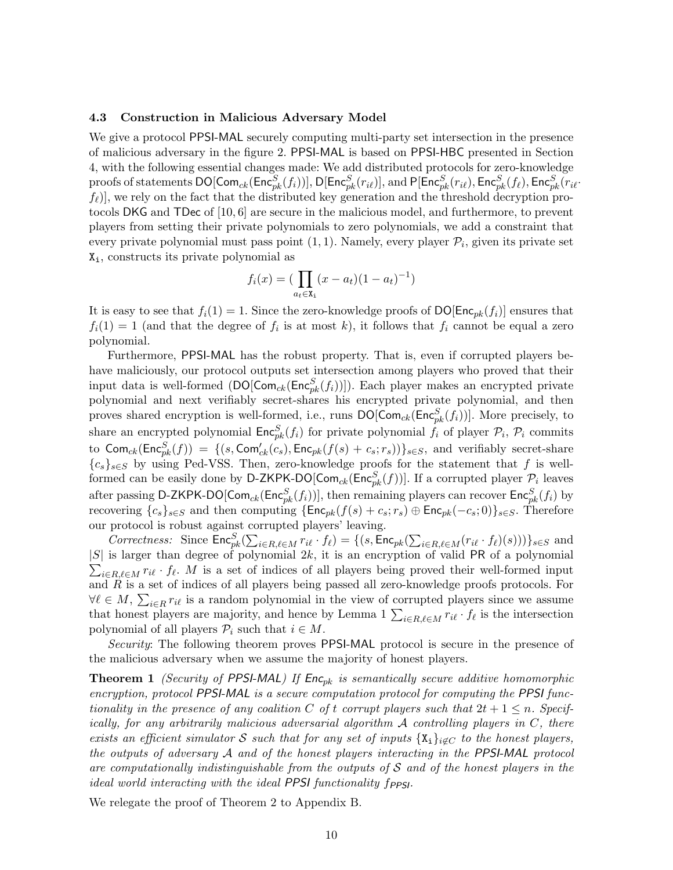#### 4.3 Construction in Malicious Adversary Model

We give a protocol PPSI-MAL securely computing multi-party set intersection in the presence of malicious adversary in the figure 2. PPSI-MAL is based on PPSI-HBC presented in Section 4, with the following essential changes made: We add distributed protocols for zero-knowledge proofs of statements  $\mathsf{DO}[\mathsf{Com}_{ck}(\mathsf{Enc}^S_{pk}(f_i))],\mathsf{D}[\mathsf{Enc}^S_{pk}(r_{i\ell})],$  and  $\mathsf{P}[\mathsf{Enc}^S_{pk}(r_{i\ell}),\mathsf{Enc}^S_{pk}(f_\ell),\mathsf{Enc}^S_{pk}(r_{i\ell}\cdot) ]$  $f_{\ell})$ , we rely on the fact that the distributed key generation and the threshold decryption protocols DKG and TDec of [10, 6] are secure in the malicious model, and furthermore, to prevent players from setting their private polynomials to zero polynomials, we add a constraint that every private polynomial must pass point  $(1,1)$ . Namely, every player  $\mathcal{P}_i$ , given its private set  $X_i$ , constructs its private polynomial as

$$
f_i(x) = \left(\prod_{a_t \in \mathbf{X_i}} (x - a_t)(1 - a_t)^{-1}\right)
$$

It is easy to see that  $f_i(1) = 1$ . Since the zero-knowledge proofs of DO[Enc<sub>pk</sub>( $f_i$ )] ensures that  $f_i(1) = 1$  (and that the degree of  $f_i$  is at most k), it follows that  $f_i$  cannot be equal a zero polynomial.

Furthermore, PPSI-MAL has the robust property. That is, even if corrupted players behave maliciously, our protocol outputs set intersection among players who proved that their input data is well-formed ( $\textsf{DO}[\textsf{Com}_{ck}(\textsf{Enc}_{pk}^S(f_i))])$ ). Each player makes an encrypted private polynomial and next verifiably secret-shares his encrypted private polynomial, and then proves shared encryption is well-formed, i.e., runs  $\textsf{DO}[\textsf{Com}_{ck}(\textsf{Enc}_{pk}^S(f_i))]$ . More precisely, to share an encrypted polynomial  $Enc_{pk}^{S}(f_i)$  for private polynomial  $f_i$  of player  $\mathcal{P}_i$ ,  $\mathcal{P}_i$  commits to  $\mathsf{Com}_{ck}(\mathsf{Enc}^S_{pk}(f)) = \{ (s, \mathsf{Com}_{ck}'(c_s), \mathsf{Enc}_{pk}(f(s) + c_s; r_s)) \}_{s \in S}$ , and verifiably secret-share  ${c_s}_{s\in S}$  by using Ped-VSS. Then, zero-knowledge proofs for the statement that f is wellformed can be easily done by D-ZKPK-DO[ $\mathsf{Com}_{ck}(\mathsf{Enc}^S_{pk}(f))]$ . If a corrupted player  $\mathcal{P}_i$  leaves after passing D-ZKPK-DO[Com<sub>ck</sub>(Enc<sub>pk</sub>(f<sub>i</sub>))], then remaining players can recover  $\mathsf{Enc}_{pk}^S(f_i)$  by recovering  ${c_s}_{s\in S}$  and then computing  ${Enc}_{pk}(f(s) + c_s; r_s) \oplus Enc_{pk}(-c_s; 0)$ <sub>s∈S</sub>. Therefore our protocol is robust against corrupted players' leaving.

Correctness: Since  $\textsf{Enc}_{pk}^S(\sum_{i \in R, \ell \in M} r_{i\ell} \cdot f_{\ell}) = \{(s, \textsf{Enc}_{pk}(\sum_{i \in R, \ell \in M} (r_{i\ell} \cdot f_{\ell})(s)))\}_{s \in S}$  and  $|S|$  is larger than degree of polynomial  $2k$ , it is an encryption of valid PR of a polynomial  $\sum_{i\in R,\ell\in M} r_{i\ell} \cdot f_{\ell}$ . M is a set of indices of all players being proved their well-formed input and  $\hat{R}$  is a set of indices of all players being passed all zero-knowledge proofs protocols. For  $\forall \ell \in M$ ,  $\sum_{i \in R} r_{i\ell}$  is a random polynomial in the view of corrupted players since we assume that honest players are majority, and hence by Lemma 1  $\sum_{i \in R, \ell \in M} r_{i\ell} \cdot f_{\ell}$  is the intersection polynomial of all players  $\mathcal{P}_i$  such that  $i \in M$ .

Security: The following theorem proves PPSI-MAL protocol is secure in the presence of the malicious adversary when we assume the majority of honest players.

**Theorem 1** (Security of PPSI-MAL) If  $Enc_{pk}$  is semantically secure additive homomorphic encryption, protocol PPSI-MAL is a secure computation protocol for computing the PPSI functionality in the presence of any coalition C of t corrupt players such that  $2t + 1 \leq n$ . Specifically, for any arbitrarily malicious adversarial algorithm A controlling players in C, there exists an efficient simulator S such that for any set of inputs  $\{X_i\}_{i\in\mathcal{C}}$  to the honest players, the outputs of adversary A and of the honest players interacting in the PPSI-MAL protocol are computationally indistinguishable from the outputs of  $S$  and of the honest players in the ideal world interacting with the ideal PPSI functionality f<sub>PPSI</sub>.

We relegate the proof of Theorem 2 to Appendix B.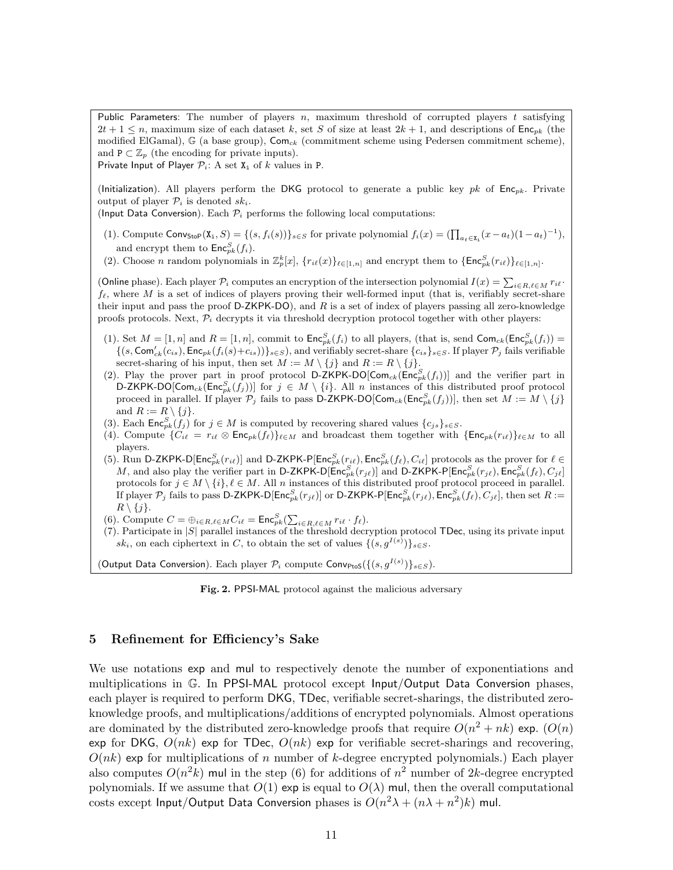Public Parameters: The number of players  $n$ , maximum threshold of corrupted players  $t$  satisfying  $2t + 1 \leq n$ , maximum size of each dataset k, set S of size at least  $2k + 1$ , and descriptions of Enc<sub>pk</sub> (the modified ElGamal),  $\mathbb{G}$  (a base group),  $\mathsf{Com}_{ck}$  (commitment scheme using Pedersen commitment scheme), and  $P \subset \mathbb{Z}_p$  (the encoding for private inputs).

Private Input of Player  $P_i$ : A set  $X_i$  of k values in P.

(Initialization). All players perform the DKG protocol to generate a public key pk of  $Enc_{pk}$ . Private output of player  $\mathcal{P}_i$  is denoted  $sk_i$ .

(Input Data Conversion). Each  $\mathcal{P}_i$  performs the following local computations:

- (1). Compute  $\text{Conv}_{\text{Stop}}(\mathbf{X}_i, S) = \{(s, f_i(s))\}_{s \in S}$  for private polynomial  $f_i(x) = (\prod_{a_t \in \mathbf{X}_i} (x a_t)(1 a_t)^{-1}),$ and encrypt them to  $\mathsf{Enc}_{pk}^S(f_i)$ .
- (2). Choose *n* random polynomials in  $\mathbb{Z}_p^k[x]$ ,  $\{r_{i\ell}(x)\}_{\ell \in [1,n]}$  and encrypt them to  $\{\mathsf{Enc}_{pk}^S(r_{i\ell})\}_{\ell \in [1,n]}$ .

(Online phase). Each player  $\mathcal{P}_i$  computes an encryption of the intersection polynomial  $I(x) = \sum_{i \in R, \ell \in M} r_{i\ell}$ .  $f_{\ell}$ , where M is a set of indices of players proving their well-formed input (that is, verifiably secret-share their input and pass the proof  $D-ZKPK-DO$ , and R is a set of index of players passing all zero-knowledge proofs protocols. Next,  $\mathcal{P}_i$  decrypts it via threshold decryption protocol together with other players:

- (1). Set  $M = [1, n]$  and  $R = [1, n]$ , commit to  $\mathsf{Enc}_{pk}^S(f_i)$  to all players, (that is, send  $\mathsf{Com}_{ck}(\mathsf{Enc}_{pk}^S(f_i)) =$  $\{(s, \textsf{Com}'_{ck}(c_{is}), \textsf{Enc}_{pk}(f_i(s)+c_{is}))\}_{s\in S}$ , and verifiably secret-share  $\{c_{is}\}_{s\in S}$ . If player  $\mathcal{P}_j$  fails verifiable secret-sharing of his input, then set  $M := M \setminus \{j\}$  and  $R := R \setminus \{j\}.$
- (2). Play the prover part in proof protocol D-ZKPK-DO[Com<sub>ck</sub>(Enc<sub>pk</sub> $(f_i)$ )] and the verifier part in D-ZKPK-DO[Com<sub>ck</sub>(Enc<sup>S</sup><sub>pk</sub>(f<sub>j</sub>))] for  $j \in M \setminus \{i\}$ . All n instances of this distributed proof protocol proceed in parallel. If player  $\mathcal{P}_j$  fails to pass D-ZKPK-DO[Com<sub>ck</sub>( $\mathsf{Enc}_{pk}^S(f_j)$ )], then set  $M := M \setminus \{j\}$ and  $R := R \setminus \{j\}.$
- (3). Each  $\mathsf{Enc}^S_{pk}(f_j)$  for  $j \in M$  is computed by recovering shared values  $\{c_{js}\}_{s \in S}$ .
- (4). Compute  $\{C_{i\ell} = r_{i\ell} \otimes \text{Enc}_{pk}(f_{\ell})\}_{\ell \in M}$  and broadcast them together with  $\{\text{Enc}_{pk}(r_{i\ell})\}_{\ell \in M}$  to all players.
- (5). Run D-ZKPK-D[ $Enc_{pk}^{S}(r_{i\ell})$ ] and D-ZKPK-P[ $Enc_{pk}^{S}(r_{i\ell})$ ,  $Enc_{pk}^{S}(f_{\ell})$ ,  $C_{i\ell}$ ] protocols as the prover for  $\ell \in$ M, and also play the verifier part in D-ZKPK-D[ $\textsf{Enc}_{pk}^S(r_{j\ell})$ ] and D-ZKPK-P[ $\textsf{Enc}_{pk}^S(r_{j\ell})$ ,  $\textsf{Enc}_{pk}^S(f_\ell), C_{j\ell}$ ] protocols for  $j \in M \setminus \{i\}, \ell \in M$ . All n instances of this distributed proof protocol proceed in parallel. If player  $\mathcal{P}_j$  fails to pass <code>D-ZKPK-D[Enc ${}_{pk}^S(r_{j\ell})]$ </code> or <code>D-ZKPK-P[Enc ${}_{pk}^S(r_{j\ell}),$  Enc ${}_{pk}^S(f_\ell),C_{j\ell}],$  then set  $R:=$ </code>  $R \setminus \{j\}.$
- (6). Compute  $C = \bigoplus_{i \in R, \ell \in M} C_{i\ell} = \mathsf{Enc}^S_{pk}(\sum_{i \in R, \ell \in M} r_{i\ell} \cdot f_{\ell}).$
- (7). Participate in  $|S|$  parallel instances of the threshold decryption protocol TDec, using its private input sk<sub>i</sub>, on each ciphertext in C, to obtain the set of values  $\{(s, g^{I(s)})\}_{s\in S}$ .

(Output Data Conversion). Each player  $\mathcal{P}_i$  compute Conv<sub>PtoS</sub>({(s, g<sup>I(s)</sup>)}<sub>s∈S</sub>).

## 5 Refinement for Efficiency's Sake

We use notations exp and mul to respectively denote the number of exponentiations and multiplications in G. In PPSI-MAL protocol except Input/Output Data Conversion phases, each player is required to perform DKG, TDec, verifiable secret-sharings, the distributed zeroknowledge proofs, and multiplications/additions of encrypted polynomials. Almost operations are dominated by the distributed zero-knowledge proofs that require  $O(n^2 + nk)$  exp.  $(O(n)$ exp for DKG,  $O(nk)$  exp for TDec,  $O(nk)$  exp for verifiable secret-sharings and recovering,  $O(nk)$  exp for multiplications of n number of k-degree encrypted polynomials.) Each player also computes  $O(n^2k)$  mul in the step (6) for additions of  $n^2$  number of 2k-degree encrypted polynomials. If we assume that  $O(1)$  exp is equal to  $O(\lambda)$  mul, then the overall computational costs except Input/Output Data Conversion phases is  $O(n^2\lambda + (n\lambda + n^2)k)$  mul.

Fig. 2. PPSI-MAL protocol against the malicious adversary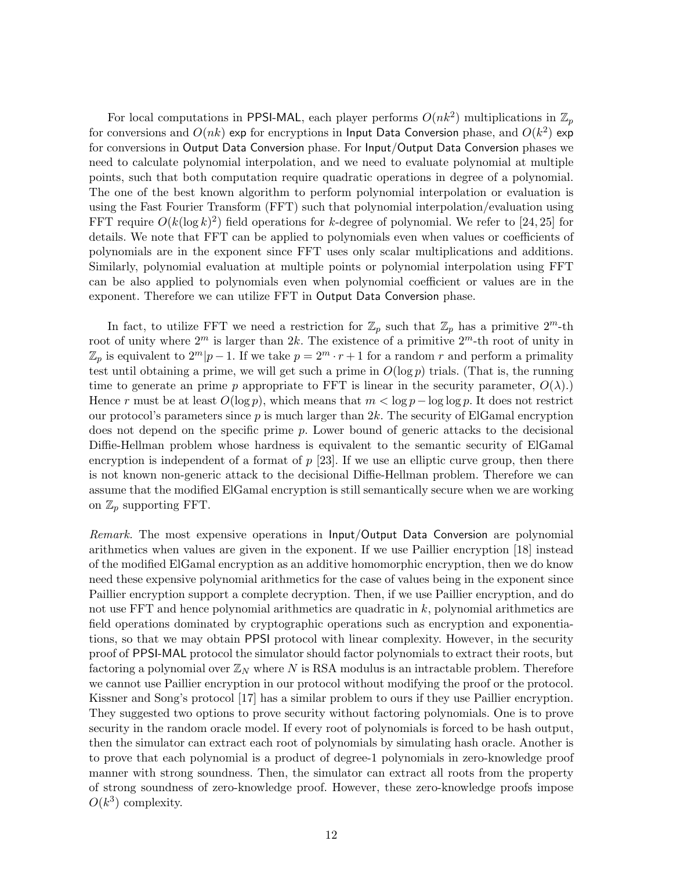For local computations in PPSI-MAL, each player performs  $O(nk^2)$  multiplications in  $\mathbb{Z}_p$ for conversions and  $O(nk)$  exp for encryptions in Input Data Conversion phase, and  $O(k^2)$  exp for conversions in Output Data Conversion phase. For Input/Output Data Conversion phases we need to calculate polynomial interpolation, and we need to evaluate polynomial at multiple points, such that both computation require quadratic operations in degree of a polynomial. The one of the best known algorithm to perform polynomial interpolation or evaluation is using the Fast Fourier Transform (FFT) such that polynomial interpolation/evaluation using FFT require  $O(k(\log k)^2)$  field operations for k-degree of polynomial. We refer to [24, 25] for details. We note that FFT can be applied to polynomials even when values or coefficients of polynomials are in the exponent since FFT uses only scalar multiplications and additions. Similarly, polynomial evaluation at multiple points or polynomial interpolation using FFT can be also applied to polynomials even when polynomial coefficient or values are in the exponent. Therefore we can utilize FFT in Output Data Conversion phase.

In fact, to utilize FFT we need a restriction for  $\mathbb{Z}_p$  such that  $\mathbb{Z}_p$  has a primitive  $2^m$ -th root of unity where  $2^m$  is larger than  $2k$ . The existence of a primitive  $2^m$ -th root of unity in  $\mathbb{Z}_p$  is equivalent to  $2^m|p-1$ . If we take  $p=2^m\cdot r+1$  for a random r and perform a primality test until obtaining a prime, we will get such a prime in  $O(\log p)$  trials. (That is, the running time to generate an prime p appropriate to FFT is linear in the security parameter,  $O(\lambda)$ .) Hence r must be at least  $O(\log p)$ , which means that  $m < \log p - \log \log p$ . It does not restrict our protocol's parameters since  $p$  is much larger than  $2k$ . The security of ElGamal encryption does not depend on the specific prime p. Lower bound of generic attacks to the decisional Diffie-Hellman problem whose hardness is equivalent to the semantic security of ElGamal encryption is independent of a format of  $p$  [23]. If we use an elliptic curve group, then there is not known non-generic attack to the decisional Diffie-Hellman problem. Therefore we can assume that the modified ElGamal encryption is still semantically secure when we are working on  $\mathbb{Z}_p$  supporting FFT.

Remark. The most expensive operations in Input/Output Data Conversion are polynomial arithmetics when values are given in the exponent. If we use Paillier encryption [18] instead of the modified ElGamal encryption as an additive homomorphic encryption, then we do know need these expensive polynomial arithmetics for the case of values being in the exponent since Paillier encryption support a complete decryption. Then, if we use Paillier encryption, and do not use  $\text{FFT}$  and hence polynomial arithmetics are quadratic in k, polynomial arithmetics are field operations dominated by cryptographic operations such as encryption and exponentiations, so that we may obtain PPSI protocol with linear complexity. However, in the security proof of PPSI-MAL protocol the simulator should factor polynomials to extract their roots, but factoring a polynomial over  $\mathbb{Z}_N$  where N is RSA modulus is an intractable problem. Therefore we cannot use Paillier encryption in our protocol without modifying the proof or the protocol. Kissner and Song's protocol [17] has a similar problem to ours if they use Paillier encryption. They suggested two options to prove security without factoring polynomials. One is to prove security in the random oracle model. If every root of polynomials is forced to be hash output, then the simulator can extract each root of polynomials by simulating hash oracle. Another is to prove that each polynomial is a product of degree-1 polynomials in zero-knowledge proof manner with strong soundness. Then, the simulator can extract all roots from the property of strong soundness of zero-knowledge proof. However, these zero-knowledge proofs impose  $O(k^3)$  complexity.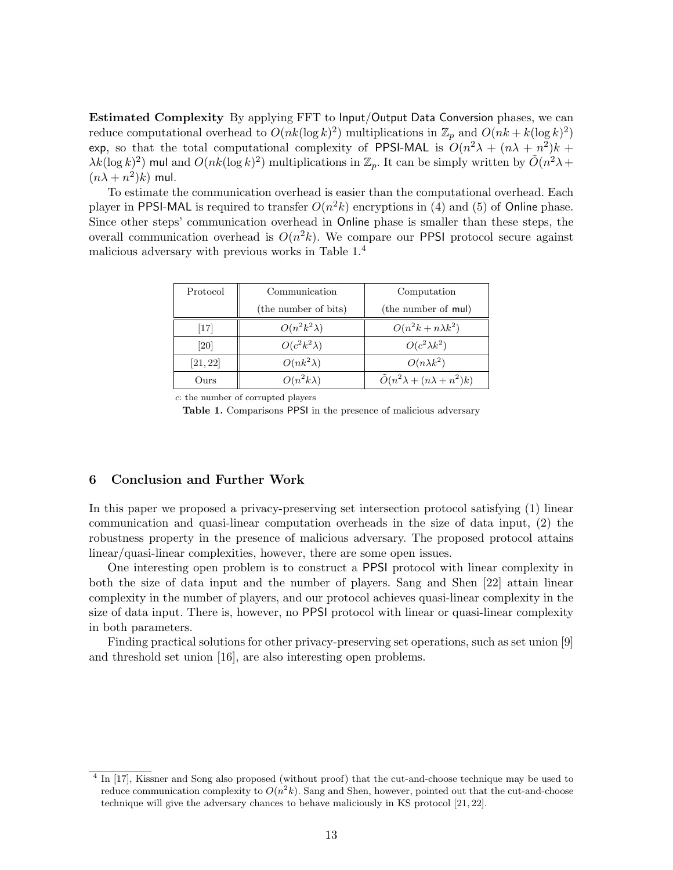Estimated Complexity By applying FFT to Input/Output Data Conversion phases, we can reduce computational overhead to  $O(nk(\log k)^2)$  multiplications in  $\mathbb{Z}_p$  and  $O(nk + k(\log k)^2)$ exp, so that the total computational complexity of PPSI-MAL is  $O(n^2\lambda + (n\lambda + n^2)k +$  $\lambda k (\log k)^2$  multiplications in  $\mathbb{Z}_p$ . It can be simply written by  $\tilde{O}(n^2 \lambda +$  $(n\lambda + n^2)k)$  mul.

To estimate the communication overhead is easier than the computational overhead. Each player in PPSI-MAL is required to transfer  $O(n^2k)$  encryptions in (4) and (5) of Online phase. Since other steps' communication overhead in Online phase is smaller than these steps, the overall communication overhead is  $O(n^2k)$ . We compare our PPSI protocol secure against malicious adversary with previous works in Table 1.<sup>4</sup>

| Protocol           | Communication        | Computation                                 |
|--------------------|----------------------|---------------------------------------------|
|                    | (the number of bits) | (the number of mul)                         |
| [17]               | $O(n^2k^2\lambda)$   | $O(n^2k+n\lambda k^2)$                      |
| $\left[ 20\right]$ | $O(c^2k^2\lambda)$   | $O(c^2\lambda k^2)$                         |
| [21, 22]           | $O(nk^2\lambda)$     | $O(n\lambda k^2)$                           |
| Ours               | $O(n^2k\lambda)$     | $\tilde{O}(n^2\lambda + (n\lambda + n^2)k)$ |

c: the number of corrupted players

Table 1. Comparisons PPSI in the presence of malicious adversary

# 6 Conclusion and Further Work

In this paper we proposed a privacy-preserving set intersection protocol satisfying (1) linear communication and quasi-linear computation overheads in the size of data input, (2) the robustness property in the presence of malicious adversary. The proposed protocol attains linear/quasi-linear complexities, however, there are some open issues.

One interesting open problem is to construct a PPSI protocol with linear complexity in both the size of data input and the number of players. Sang and Shen [22] attain linear complexity in the number of players, and our protocol achieves quasi-linear complexity in the size of data input. There is, however, no PPSI protocol with linear or quasi-linear complexity in both parameters.

Finding practical solutions for other privacy-preserving set operations, such as set union [9] and threshold set union [16], are also interesting open problems.

<sup>4</sup> In [17], Kissner and Song also proposed (without proof) that the cut-and-choose technique may be used to reduce communication complexity to  $O(n^2k)$ . Sang and Shen, however, pointed out that the cut-and-choose technique will give the adversary chances to behave maliciously in KS protocol [21, 22].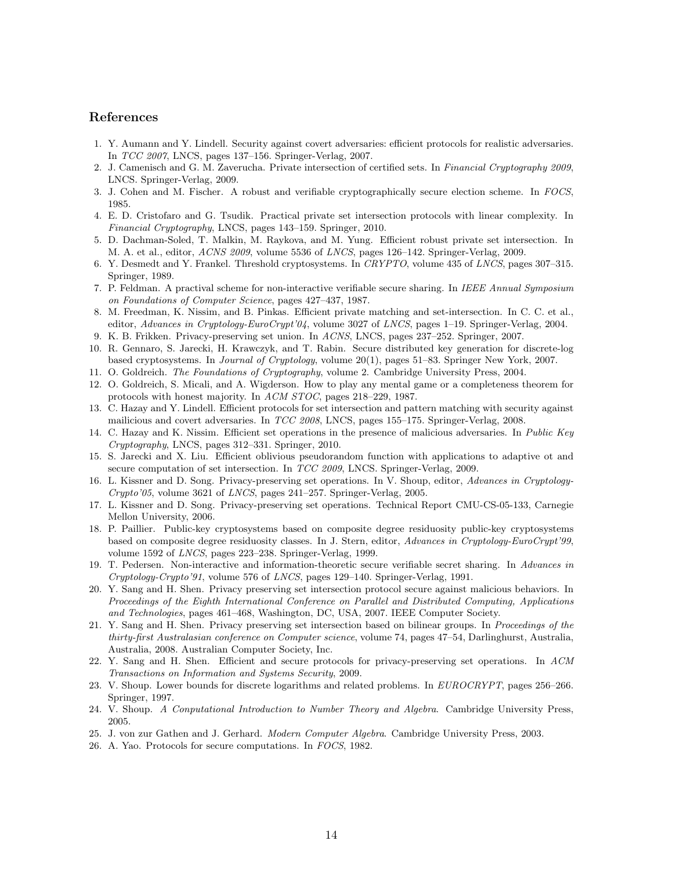#### References

- 1. Y. Aumann and Y. Lindell. Security against covert adversaries: efficient protocols for realistic adversaries. In TCC 2007, LNCS, pages 137–156. Springer-Verlag, 2007.
- 2. J. Camenisch and G. M. Zaverucha. Private intersection of certified sets. In Financial Cryptography 2009, LNCS. Springer-Verlag, 2009.
- 3. J. Cohen and M. Fischer. A robust and verifiable cryptographically secure election scheme. In FOCS, 1985.
- 4. E. D. Cristofaro and G. Tsudik. Practical private set intersection protocols with linear complexity. In Financial Cryptography, LNCS, pages 143–159. Springer, 2010.
- 5. D. Dachman-Soled, T. Malkin, M. Raykova, and M. Yung. Efficient robust private set intersection. In M. A. et al., editor, ACNS 2009, volume 5536 of LNCS, pages 126–142. Springer-Verlag, 2009.
- 6. Y. Desmedt and Y. Frankel. Threshold cryptosystems. In CRYPTO, volume 435 of LNCS, pages 307–315. Springer, 1989.
- 7. P. Feldman. A practival scheme for non-interactive verifiable secure sharing. In IEEE Annual Symposium on Foundations of Computer Science, pages 427–437, 1987.
- 8. M. Freedman, K. Nissim, and B. Pinkas. Efficient private matching and set-intersection. In C. C. et al., editor, Advances in Cryptology-EuroCrypt'04, volume 3027 of LNCS, pages 1–19. Springer-Verlag, 2004.
- 9. K. B. Frikken. Privacy-preserving set union. In ACNS, LNCS, pages 237–252. Springer, 2007.
- 10. R. Gennaro, S. Jarecki, H. Krawczyk, and T. Rabin. Secure distributed key generation for discrete-log based cryptosystems. In Journal of Cryptology, volume 20(1), pages 51–83. Springer New York, 2007.
- 11. O. Goldreich. The Foundations of Cryptography, volume 2. Cambridge University Press, 2004.
- 12. O. Goldreich, S. Micali, and A. Wigderson. How to play any mental game or a completeness theorem for protocols with honest majority. In ACM STOC, pages 218–229, 1987.
- 13. C. Hazay and Y. Lindell. Efficient protocols for set intersection and pattern matching with security against mailicious and covert adversaries. In TCC 2008, LNCS, pages 155–175. Springer-Verlag, 2008.
- 14. C. Hazay and K. Nissim. Efficient set operations in the presence of malicious adversaries. In Public Key Cryptography, LNCS, pages 312–331. Springer, 2010.
- 15. S. Jarecki and X. Liu. Efficient oblivious pseudorandom function with applications to adaptive ot and secure computation of set intersection. In TCC 2009, LNCS. Springer-Verlag, 2009.
- 16. L. Kissner and D. Song. Privacy-preserving set operations. In V. Shoup, editor, Advances in Cryptology-Crypto'05, volume 3621 of LNCS, pages 241–257. Springer-Verlag, 2005.
- 17. L. Kissner and D. Song. Privacy-preserving set operations. Technical Report CMU-CS-05-133, Carnegie Mellon University, 2006.
- 18. P. Paillier. Public-key cryptosystems based on composite degree residuosity public-key cryptosystems based on composite degree residuosity classes. In J. Stern, editor, Advances in Cryptology-EuroCrypt'99, volume 1592 of LNCS, pages 223–238. Springer-Verlag, 1999.
- 19. T. Pedersen. Non-interactive and information-theoretic secure verifiable secret sharing. In Advances in Cryptology-Crypto'91, volume 576 of LNCS, pages 129–140. Springer-Verlag, 1991.
- 20. Y. Sang and H. Shen. Privacy preserving set intersection protocol secure against malicious behaviors. In Proceedings of the Eighth International Conference on Parallel and Distributed Computing, Applications and Technologies, pages 461–468, Washington, DC, USA, 2007. IEEE Computer Society.
- 21. Y. Sang and H. Shen. Privacy preserving set intersection based on bilinear groups. In Proceedings of the thirty-first Australasian conference on Computer science, volume 74, pages 47–54, Darlinghurst, Australia, Australia, 2008. Australian Computer Society, Inc.
- 22. Y. Sang and H. Shen. Efficient and secure protocols for privacy-preserving set operations. In ACM Transactions on Information and Systems Security, 2009.
- 23. V. Shoup. Lower bounds for discrete logarithms and related problems. In EUROCRYPT, pages 256–266. Springer, 1997.
- 24. V. Shoup. A Conputational Introduction to Number Theory and Algebra. Cambridge University Press, 2005.
- 25. J. von zur Gathen and J. Gerhard. Modern Computer Algebra. Cambridge University Press, 2003.
- 26. A. Yao. Protocols for secure computations. In FOCS, 1982.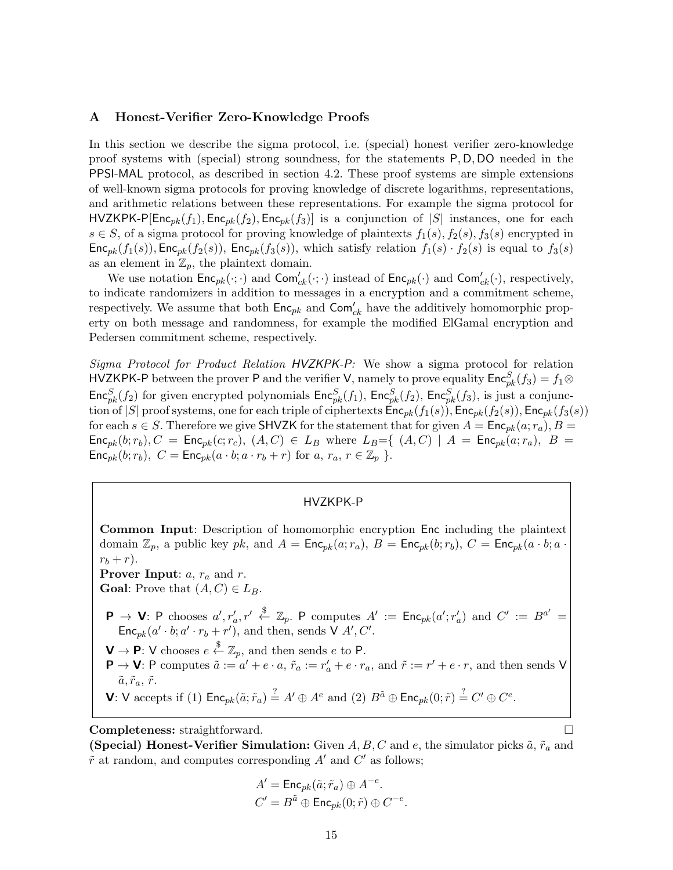# A Honest-Verifier Zero-Knowledge Proofs

In this section we describe the sigma protocol, i.e. (special) honest verifier zero-knowledge proof systems with (special) strong soundness, for the statements P, D, DO needed in the PPSI-MAL protocol, as described in section 4.2. These proof systems are simple extensions of well-known sigma protocols for proving knowledge of discrete logarithms, representations, and arithmetic relations between these representations. For example the sigma protocol for HVZKPK-P[Enc<sub>pk</sub>(f<sub>1</sub>), Enc<sub>pk</sub>(f<sub>2</sub>), Enc<sub>pk</sub>(f<sub>3</sub>)] is a conjunction of |S| instances, one for each  $s \in S$ , of a sigma protocol for proving knowledge of plaintexts  $f_1(s)$ ,  $f_2(s)$ ,  $f_3(s)$  encrypted in  $\mathsf{Enc}_{pk}(f_1(s)), \mathsf{Enc}_{pk}(f_2(s)), \mathsf{Enc}_{pk}(f_3(s)),$  which satisfy relation  $f_1(s) \cdot f_2(s)$  is equal to  $f_3(s)$ as an element in  $\mathbb{Z}_p$ , the plaintext domain.

We use notation  $\textsf{Enc}_{pk}(\cdot;\cdot)$  and  $\textsf{Com}_{ck}'(\cdot;\cdot)$  instead of  $\textsf{Enc}_{pk}(\cdot)$  and  $\textsf{Com}_{ck}'(\cdot)$ , respectively, to indicate randomizers in addition to messages in a encryption and a commitment scheme, respectively. We assume that both  $\mathsf{Enc}_{pk}$  and  $\mathsf{Com}'_{ck}$  have the additively homomorphic property on both message and randomness, for example the modified ElGamal encryption and Pedersen commitment scheme, respectively.

Sigma Protocol for Product Relation HVZKPK-P: We show a sigma protocol for relation HVZKPK-P between the prover P and the verifier V, namely to prove equality  $\mathsf{Enc}^S_{pk}(f_3) = f_1 \otimes$  $\mathsf{Enc}_{pk}^S(f_2)$  for given encrypted polynomials  $\mathsf{Enc}_{pk}^S(f_1)$ ,  $\mathsf{Enc}_{pk}^S(f_2)$ ,  $\mathsf{Enc}_{pk}^S(f_3)$ , is just a conjunction of |S| proof systems, one for each triple of ciphertexts  $\text{Enc}_{pk}(f_1(s))$ ,  $\text{Enc}_{pk}(f_2(s))$ ,  $\text{Enc}_{pk}(f_3(s))$ for each  $s \in S$ . Therefore we give SHVZK for the statement that for given  $A = \mathsf{Enc}_{pk}(a; r_a)$ ,  $B =$  $\mathsf{Enc}_{pk}(b; r_b), C = \mathsf{Enc}_{pk}(c; r_c), (A, C) \in L_B$  where  $L_B = \{(A, C) | A = \mathsf{Enc}_{pk}(a; r_a), B = \emptyset\}$  $\mathsf{Enc}_{pk}(b; r_b), C = \mathsf{Enc}_{pk}(a \cdot b; a \cdot r_b + r)$  for  $a, r_a, r \in \mathbb{Z}_p$  }.

#### HVZKPK-P

Common Input: Description of homomorphic encryption Enc including the plaintext domain  $\mathbb{Z}_p$ , a public key pk, and  $A = \text{Enc}_{pk}(a; r_a)$ ,  $B = \text{Enc}_{pk}(b; r_b)$ ,  $C = \text{Enc}_{pk}(a \cdot b; a \cdot b)$  $r_b + r$ ). **Prover Input:**  $a, r_a$  and  $r$ . **Goal:** Prove that  $(A, C) \in L_B$ .  $P \rightarrow V: P$  chooses  $a', r'_a, r' \stackrel{\$}{\leftarrow} \mathbb{Z}_p$ . P computes  $A' := \textsf{Enc}_{pk}(a'; r'_a)$  and  $C' := B^{a'} =$  $\mathsf{Enc}_{pk}(a' \cdot b; a' \cdot r_b + r')$ , and then, sends  $\forall A', C'.$  $\mathbf{V} \to \mathbf{P}$ : V chooses  $e \stackrel{\$}{\leftarrow} \mathbb{Z}_p$ , and then sends e to P.  $\mathsf{P} \to \mathsf{V}$ : P computes  $\tilde{a} := a' + e \cdot a$ ,  $\tilde{r}_a := r'_a + e \cdot r_a$ , and  $\tilde{r} := r' + e \cdot r$ , and then sends V  $\tilde{a}, \tilde{r}_a, \tilde{r}.$ **V**: V accepts if (1)  $\mathsf{Enc}_{pk}(\tilde{a}; \tilde{r}_a) \stackrel{?}{=} A' \oplus A^e \text{ and } (2) B^{\tilde{a}} \oplus \mathsf{Enc}_{pk}(0; \tilde{r}) \stackrel{?}{=} C' \oplus C^e.$ 

Completeness: straightforward. □

(Special) Honest-Verifier Simulation: Given A, B, C and e, the simulator picks  $\tilde{a}$ ,  $\tilde{r}_a$  and  $\tilde{r}$  at random, and computes corresponding  $A'$  and  $C'$  as follows;

$$
\begin{aligned} A' &= \mathsf{Enc}_{pk}(\tilde{a}; \tilde{r}_a) \oplus A^{-e}. \\ C' &= B^{\tilde{a}} \oplus \mathsf{Enc}_{pk}(0; \tilde{r}) \oplus C^{-e}. \end{aligned}
$$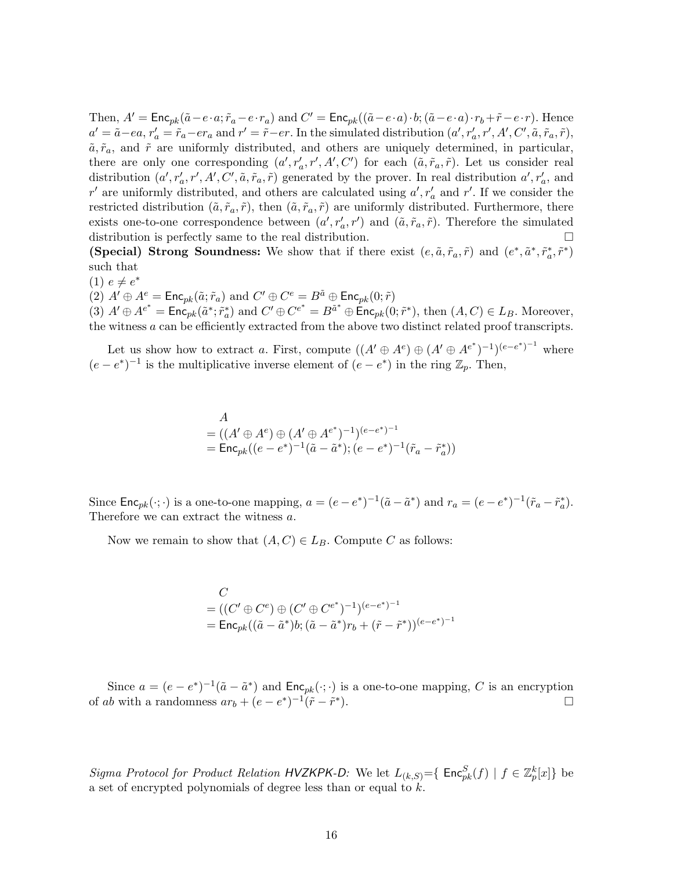Then,  $A' = \textsf{Enc}_{pk}(\tilde{a} - e \cdot a; \tilde{r}_a - e \cdot r_a)$  and  $C' = \textsf{Enc}_{pk}((\tilde{a} - e \cdot a) \cdot b; (\tilde{a} - e \cdot a) \cdot r_b + \tilde{r} - e \cdot r)$ . Hence  $a' = \tilde{a} - ea, r'_a = \tilde{r}_a - er_a$  and  $r' = \tilde{r} - er$ . In the simulated distribution  $(a', r'_a, r', A', C', \tilde{a}, \tilde{r}_a, \tilde{r}),$  $\tilde{a}, \tilde{r}_a$ , and  $\tilde{r}$  are uniformly distributed, and others are uniquely determined, in particular, there are only one corresponding  $(a', r_a', r', A', C')$  for each  $(\tilde{a}, \tilde{r}_a, \tilde{r})$ . Let us consider real distribution  $(a', r'_a, r', A', C', \tilde{a}, \tilde{r}_a, \tilde{r})$  generated by the prover. In real distribution  $a', r'_a$ , and  $r'$  are uniformly distributed, and others are calculated using  $a', r'_a$  and  $r'$ . If we consider the restricted distribution  $(\tilde{a}, \tilde{r}_a, \tilde{r})$ , then  $(\tilde{a}, \tilde{r}_a, \tilde{r})$  are uniformly distributed. Furthermore, there exists one-to-one correspondence between  $(a', r'_a, r')$  and  $(\tilde{a}, \tilde{r}_a, \tilde{r})$ . Therefore the simulated distribution is perfectly same to the real distribution.

(Special) Strong Soundness: We show that if there exist  $(e, \tilde{a}, \tilde{r}_a, \tilde{r})$  and  $(e^*, \tilde{a}^*, \tilde{r}_a^*, \tilde{r}^*)$ such that

 $(1) e \neq e^*$ 

(2)  $A' \oplus A^e = \text{Enc}_{pk}(\tilde{a}; \tilde{r}_a)$  and  $C' \oplus C^e = B^{\tilde{a}} \oplus \text{Enc}_{pk}(0; \tilde{r})$ 

(3)  $A' \oplus A^{e^*} = \text{Enc}_{pk}(\tilde{a}^*; \tilde{r}_a^*)$  and  $C' \oplus C^{e^*} = B^{\tilde{a}^*} \oplus \text{Enc}_{pk}(0; \tilde{r}^*)$ , then  $(A, C) \in L_B$ . Moreover, the witness a can be efficiently extracted from the above two distinct related proof transcripts.

Let us show how to extract a. First, compute  $((A' \oplus A^e) \oplus (A' \oplus A^{e^*})^{-1})^{(e-e^*)^{-1}}$  where  $(e-e^*)^{-1}$  is the multiplicative inverse element of  $(e-e^*)$  in the ring  $\mathbb{Z}_p$ . Then,

$$
A = ((A' \oplus A^e) \oplus (A' \oplus A^{e^*})^{-1})^{(e-e^*)^{-1}}
$$
  
= Enc<sub>pk</sub>((e-e<sup>\*</sup>)<sup>-1</sup>( $\tilde{a}$  -  $\tilde{a}^*$ ); (e - e<sup>\*</sup>)<sup>-1</sup>( $\tilde{r}_a$  -  $\tilde{r}_a^*$ ))

Since  $\mathsf{Enc}_{pk}(\cdot;\cdot)$  is a one-to-one mapping,  $a = (e - e^*)^{-1}(\tilde{a} - \tilde{a}^*)$  and  $r_a = (e - e^*)^{-1}(\tilde{r}_a - \tilde{r}_a^*)$ . Therefore we can extract the witness a.

Now we remain to show that  $(A, C) \in L_B$ . Compute C as follows:

$$
C
$$
  
= ((C' \oplus C<sup>e</sup>) \oplus (C' \oplus C<sup>e\*</sup>)<sup>-1</sup>)<sup>(e-e\*)<sup>-1</sup></sup>  
= Enc<sub>pk</sub>((\tilde{a} - \tilde{a}\*)b; (\tilde{a} - \tilde{a}\*)r<sub>b</sub> + (\tilde{r} - \tilde{r}^\*))<sup>(e-e\*)<sup>-1</sup></sup>

Since  $a = (e - e^*)^{-1}(\tilde{a} - \tilde{a}^*)$  and  $\text{Enc}_{pk}(\cdot; \cdot)$  is a one-to-one mapping, C is an encryption of ab with a randomness  $ar_b + (e - e^*)^{-1}(\tilde{r} - \tilde{r}^*)$  $\Box$ 

Sigma Protocol for Product Relation HVZKPK-D: We let  $L_{(k,S)} = \{ \operatorname{Enc}^S_{pk}(f) \mid f \in \mathbb{Z}_p^k[x] \}$  be a set of encrypted polynomials of degree less than or equal to k.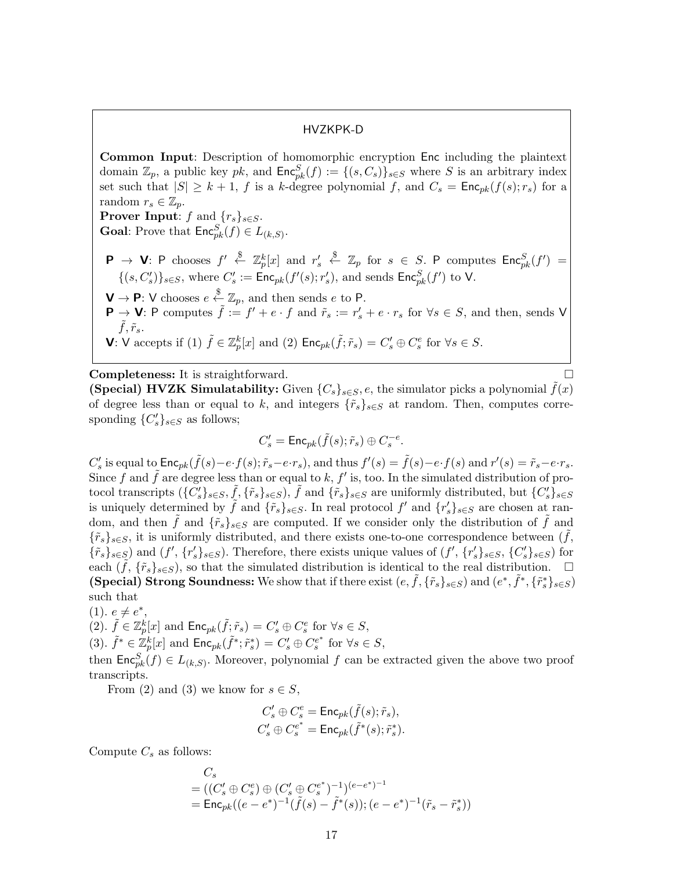#### HVZKPK-D

Common Input: Description of homomorphic encryption Enc including the plaintext domain  $\mathbb{Z}_p$ , a public key pk, and  $\mathsf{Enc}_{pk}^S(f) := \{(s, C_s)\}_{s \in S}$  where S is an arbitrary index set such that  $|S| \geq k+1$ , f is a k-degree polynomial f, and  $C_s = \text{Enc}_{pk}(f(s); r_s)$  for a random  $r_s \in \mathbb{Z}_p$ . **Prover Input:** f and  $\{r_s\}_{s\in S}$ .

**Goal:** Prove that  $\mathsf{Enc}_{pk}^S(f) \in L_{(k,S)}$ .

 $\mathsf{P} \to \mathsf{V}$ : P chooses  $f' \stackrel{\$}{\leftarrow} \mathbb{Z}_p^k[x]$  and  $r'_s$  $\stackrel{\$}{\leftarrow}$   $\mathbb{Z}_p$  for  $s \in S$ . P computes  $\mathsf{Enc}_{pk}^S(f') =$  $\{(s, C'_s)\}_{s \in S}$ , where  $C'_s := \mathsf{Enc}_{pk}(f'(s); r'_s)$ , and sends  $\mathsf{Enc}_{pk}^S(f')$  to V.

 $\mathbf{V} \to \mathbf{P}$ : V chooses  $e \stackrel{\$}{\leftarrow} \mathbb{Z}_p$ , and then sends e to P.  $\mathsf{P} \to \mathsf{V}$ : P computes  $\tilde{f} := f' + e \cdot f$  and  $\tilde{r}_s := r'_s + e \cdot r_s$  for  $\forall s \in S$ , and then, sends V  $\tilde{f}, \tilde{r}_s$ . **V**: V accepts if (1)  $\tilde{f} \in \mathbb{Z}_p^k[x]$  and (2)  $\mathsf{Enc}_{pk}(\tilde{f}; \tilde{r}_s) = C_s' \oplus C_s^e$  for  $\forall s \in S$ .

Completeness: It is straightforward. □

(Special) HVZK Simulatability: Given  $\{C_s\}_{s\in S}$ , e, the simulator picks a polynomial  $f(x)$ of degree less than or equal to k, and integers  $\{\tilde{r}_s\}_{s\in S}$  at random. Then, computes corresponding  ${C'_s}_{s \in S}$  as follows;

$$
C'_s = \mathsf{Enc}_{pk}(\tilde{f}(s); \tilde{r}_s) \oplus C_s^{-e}.
$$

 $C'_s$  is equal to  $\mathsf{Enc}_{pk}(\tilde{f}(s)-e\cdot f(s); \tilde{r}_s-e\cdot r_s)$ , and thus  $f'(s)=\tilde{f}(s)-e\cdot f(s)$  and  $r'(s)=\tilde{r}_s-e\cdot r_s$ . Since f and  $\tilde{f}$  are degree less than or equal to k, f' is, too. In the simulated distribution of protocol transcripts  $(\{C'_s\}_{s\in S}, \tilde{f}, \{\tilde{r}_s\}_{s\in S})$ ,  $\tilde{f}$  and  $\{\tilde{r}_s\}_{s\in S}$  are uniformly distributed, but  $\{C'_s\}_{s\in S}$ is uniquely determined by  $\tilde{f}$  and  $\{\tilde{r}_s\}_{s\in S}$ . In real protocol  $f'$  and  $\{r'_s\}_{s\in S}$  are chosen at random, and then f and  $\{\tilde{r}_s\}_{s\in S}$  are computed. If we consider only the distribution of f and  ${\lbrace \tilde{r}_s \rbrace}_{s \in S}$ , it is uniformly distributed, and there exists one-to-one correspondence between  $(f, f)$  $\{\tilde{r}_s\}_{s\in\mathcal{S}}$  and  $(f', \{r'_s\}_{s\in\mathcal{S}})$ . Therefore, there exists unique values of  $(f', \{r'_s\}_{s\in\mathcal{S}}, \{C'_s\}_{s\in\mathcal{S}})$  for each  $(\tilde{f}, \{\tilde{r}_s\}_{s\in S})$ , so that the simulated distribution is identical to the real distribution.  $\Box$ (Special) Strong Soundness: We show that if there exist  $(e, \tilde{f}, \{\tilde{r}_s\}_{s\in S})$  and  $(e^*, \tilde{f}^*, \{\tilde{r}_s^*\}_{s\in S})$ such that

$$
(1). e \neq e^*,
$$

(2).  $\tilde{f} \in \mathbb{Z}_p^k[x]$  and  $\mathsf{Enc}_{pk}(\tilde{f}; \tilde{r}_s) = C_s' \oplus C_s^e$  for  $\forall s \in S$ , (3).  $\tilde{f}^* \in \mathbb{Z}_p^k[x]$  and  $\mathsf{Enc}_{pk}(\tilde{f}^*; \tilde{r}_s^*) = C_s' \oplus C_s^{e^*}$  for  $\forall s \in S$ ,

then  $\mathsf{Enc}_{pk}^S(f) \in L_{(k,S)}$ . Moreover, polynomial f can be extracted given the above two proof transcripts.

From (2) and (3) we know for  $s \in S$ ,

$$
\begin{aligned} C'_s\oplus C^e_s &= \mathsf{Enc}_{pk}(\tilde{f}(s);\tilde{r}_s),\\ C'_s\oplus C^{e^*}_s &= \mathsf{Enc}_{pk}(\tilde{f}^*(s);\tilde{r}^*_s). \end{aligned}
$$

Compute  $C_s$  as follows:

$$
C_s = ((C'_s \oplus C_s^e) \oplus (C'_s \oplus C_s^{e^*})^{-1})^{(e-e^*)^{-1}}
$$
  
= Enc<sub>pk</sub>((e-e\*)<sup>-1</sup>( $\tilde{f}(s)$  -  $\tilde{f}^*(s)$ ); (e - e\*)<sup>-1</sup>( $\tilde{r}_s$  -  $\tilde{r}_s^*$ ))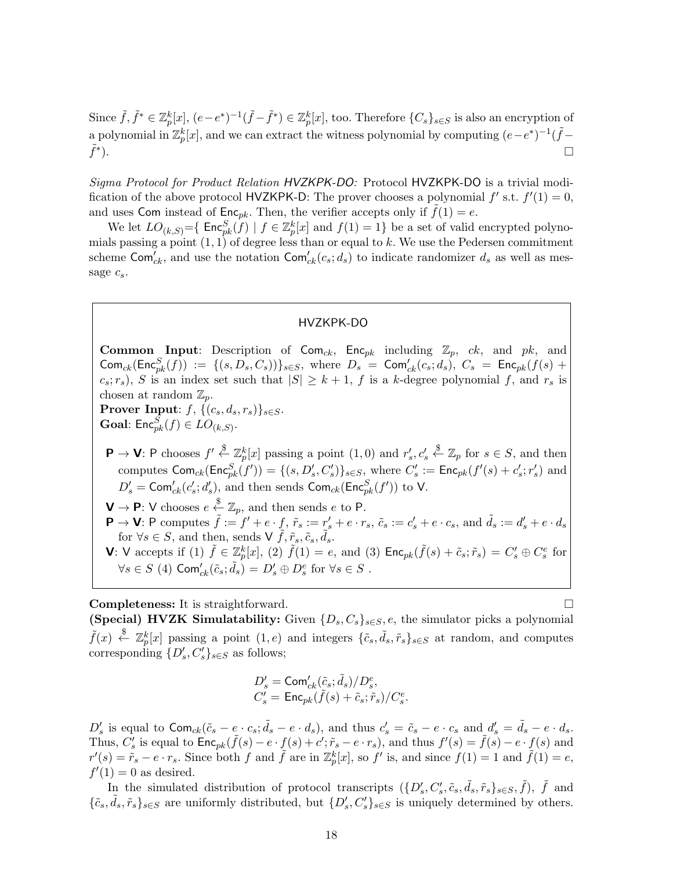Since  $\tilde{f}, \tilde{f}^* \in \mathbb{Z}_p^k[x], (e-e^*)^{-1}(\tilde{f}-\tilde{f}^*) \in \mathbb{Z}_p^k[x]$ , too. Therefore  $\{C_s\}_{s \in S}$  is also an encryption of a polynomial in  $\mathbb{Z}_p^k[x]$ , and we can extract the witness polynomial by computing  $(e-e^*)^{-1}(\tilde{f} \tilde{f}^*$  $\Box$ 

Sigma Protocol for Product Relation HVZKPK-DO: Protocol HVZKPK-DO is a trivial modification of the above protocol HVZKPK-D: The prover chooses a polynomial  $f'$  s.t.  $f'(1) = 0$ , and uses Com instead of Enc<sub>pk</sub>. Then, the verifier accepts only if  $f(1) = e$ .

We let  $LO_{(k,S)} = \{ \operatorname{Enc}_{pk}^S(f) \mid f \in \mathbb{Z}_p^k[x] \text{ and } f(1) = 1 \}$  be a set of valid encrypted polynomials passing a point  $(1, 1)$  of degree less than or equal to k. We use the Pedersen commitment scheme  $\mathsf{Com}'_{ck}$ , and use the notation  $\mathsf{Com}'_{ck}(c_s; d_s)$  to indicate randomizer  $d_s$  as well as message  $c_s$ .

#### HVZKPK-DO

**Common Input:** Description of  $Com_{ck}$ ,  $Enc_{pk}$  including  $\mathbb{Z}_p$ , ck, and pk, and  $\textsf{Com}_{ck}(\textsf{Enc}_{pk}^S(f)) := \{ (s, D_s, C_s) ) \}_{s \in S}$ , where  $D_s = \textsf{Com}_{ck}'(c_s; d_s)$ ,  $C_s = \textsf{Enc}_{pk}(f(s) +$  $c_s$ ;  $r_s$ ), S is an index set such that  $|S| \geq k+1$ , f is a k-degree polynomial f, and  $r_s$  is chosen at random  $\mathbb{Z}_p$ .

**Prover Input**:  $f$ ,  $\{(c_s, d_s, r_s)\}_{s \in S}$ . Goal:  $\mathsf{Enc}_{pk}^S(f) \in LO_{(k,S)}$ .

- $\mathsf{P} \to \mathsf{V}$ : P chooses  $f' \stackrel{\$}{\leftarrow} \mathbb{Z}_p^k[x]$  passing a point  $(1,0)$  and  $r'_s, c'_s$  $\stackrel{\$}{\leftarrow} \mathbb{Z}_p$  for  $s \in S$ , and then computes  $\mathsf{Com}_{ck}(\mathsf{Enc}^S_{pk}(f')) = \{(s, D'_s, C'_s)\}_{s \in S}$ , where  $C'_s := \mathsf{Enc}_{pk}(f'(s) + c'_s; r'_s)$  and  $D'_s = \mathsf{Com}_{ck}'(c'_s; d'_s)$ , and then sends  $\mathsf{Com}_{ck}(\mathsf{Enc}_{pk}^S(f'))$  to V.
- $\mathbf{V} \to \mathbf{P}$ : V chooses  $e \stackrel{\$}{\leftarrow} \mathbb{Z}_p$ , and then sends e to P.
- $\mathsf{P} \to \mathsf{V}$ : P computes  $\tilde{f} := f' + e \cdot f, \, \tilde{r}_s := r'_s + e \cdot r_s, \, \tilde{c}_s := c'_s + e \cdot c_s, \text{ and } \tilde{d}_s := d'_s + e \cdot d_s$ for  $\forall s \in S$ , and then, sends  $\forall \tilde{f}, \tilde{r}_s, \tilde{c}_s, \tilde{d}_s$ .
- **V**: V accepts if (1)  $\tilde{f} \in \mathbb{Z}_p^k[x]$ , (2)  $\tilde{f}(1) = e$ , and (3)  $\mathsf{Enc}_{pk}(\tilde{f}(s) + \tilde{c}_s; \tilde{r}_s) = C_s' \oplus C_s^e$  for  $\forall s \in S \ (4) \ \mathsf{Com}'_{ck}(\tilde{c}_s; \tilde{d}_s) = D'_s \oplus D_s^e \text{ for } \forall s \in S \ .$

Completeness: It is straightforward. □

(Special) HVZK Simulatability: Given  $\{D_s, C_s\}_{s\in S}, e$ , the simulator picks a polynomial  $\tilde{f}(x) \stackrel{\$}{\leftarrow} \mathbb{Z}_p^k[x]$  passing a point  $(1,e)$  and integers  $\{\tilde{c}_s, \tilde{d}_s, \tilde{r}_s\}_{s\in S}$  at random, and computes corresponding  $\{D'_s, C'_s\}_{s\in S}$  as follows;

$$
\begin{array}{l} D'_s = \textsf{Com}'_{ck}(\tilde{c}_s; \tilde{d}_s)/D_s^e, \\ C'_s = \textsf{Enc}_{pk}(\tilde{f}(s) + \tilde{c}_s; \tilde{r}_s)/C_s^e \end{array}
$$

.

 $D'_s$  is equal to  $\mathsf{Com}_{ck}(\tilde{c}_s - e \cdot c_s; \tilde{d}_s - e \cdot d_s)$ , and thus  $c'_s = \tilde{c}_s - e \cdot c_s$  and  $d'_s = \tilde{d}_s - e \cdot d_s$ . Thus,  $C'_s$  is equal to  $\mathsf{Enc}_{pk}(\tilde{f}(s) - e \cdot f(s) + c'; \tilde{r}_s - e \cdot r_s)$ , and thus  $f'(s) = \tilde{f}(s) - e \cdot f(s)$  and  $r'(s) = \tilde{r}_s - e \cdot r_s$ . Since both f and  $\tilde{f}$  are in  $\mathbb{Z}_p^k[x]$ , so f' is, and since  $f(1) = 1$  and  $\tilde{f}(1) = e$ ,  $f'(1) = 0$  as desired.

In the simulated distribution of protocol transcripts  $(\{D'_s, C'_s, \tilde{c}_s, \tilde{d}_s, \tilde{r}_s\}_{s\in S}, \tilde{f}), \tilde{f}$  and  $\{\tilde{c}_s, \tilde{d}_s, \tilde{r}_s\}_{s\in S}$  are uniformly distributed, but  $\{D'_s, C'_s\}_{s\in S}$  is uniquely determined by others.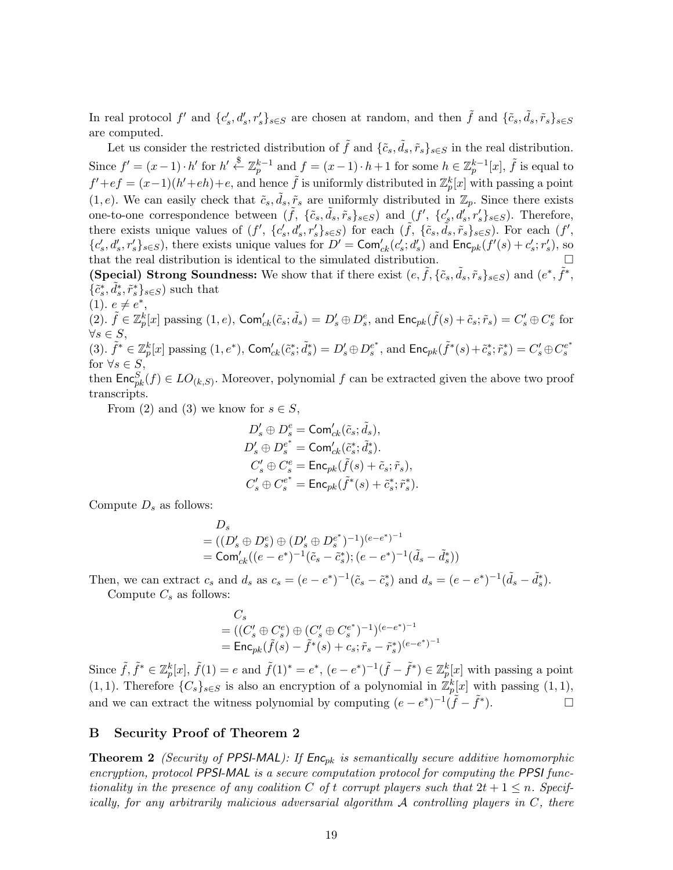In real protocol f' and  $\{c'_s, d'_s, r'_s\}_{s\in S}$  are chosen at random, and then  $\tilde{f}$  and  $\{\tilde{c}_s, \tilde{d}_s, \tilde{r}_s\}_{s\in S}$ are computed.

Let us consider the restricted distribution of  $\tilde{f}$  and  $\{\tilde{c}_s, \tilde{d}_s, \tilde{r}_s\}_{s\in S}$  in the real distribution. Since  $f' = (x-1) \cdot h'$  for  $h' \stackrel{\$}{\leftarrow} \mathbb{Z}_p^{k-1}$  and  $f = (x-1) \cdot h + 1$  for some  $h \in \mathbb{Z}_p^{k-1}[x]$ ,  $\tilde{f}$  is equal to  $f' + ef = (x-1)(h' + eh) + e$ , and hence  $\tilde{f}$  is uniformly distributed in  $\mathbb{Z}_p^k[x]$  with passing a point  $(1, e)$ . We can easily check that  $\tilde{c}_s, \tilde{d}_s, \tilde{r}_s$  are uniformly distributed in  $\mathbb{Z}_p$ . Since there exists one-to-one correspondence between  $(\tilde{f}, \{\tilde{c}_s, \tilde{d}_s, \tilde{r}_s\}_{s\in S})$  and  $(f', \{c'_s, d'_s, r'_s\}_{s\in S})$ . Therefore, there exists unique values of  $(f', \{c'_s, d'_s, r'_s\}_{s\in S})$  for each  $(\tilde{f}, \{\tilde{c}_s, \tilde{d}_s, \tilde{r}_s\}_{s\in S})$ . For each  $(f', \{c'_s, d'_s, r'_s\}_{s\in S})$  ${c'_s, d'_s, r'_s}_{s\in S}$ , there exists unique values for  $D' = \textsf{Com}'_{ck}(c'_s; d'_s)$  and  $\textsf{Enc}_{pk}(f'(s) + c'_s; r'_s)$ , so that the real distribution is identical to the simulated distribution.  $\Box$ 

(Special) Strong Soundness: We show that if there exist  $(e, \tilde{f}, \{\tilde{c}_s, \tilde{d}_s, \tilde{r}_s\}_{s\in S})$  and  $(e^*, \tilde{f}^*,$  $\{\tilde{c}_s^*, \tilde{d}_s^*, \tilde{r}_s^*\}_{s\in S}$  such that

 $(1). e \neq e^*,$ 

(2).  $\tilde{f} \in \mathbb{Z}_p^k[x]$  passing  $(1, e)$ ,  $\textsf{Com}'_{ck}(\tilde{c}_s; \tilde{d}_s) = D'_s \oplus D_s^e$ , and  $\textsf{Enc}_{pk}(\tilde{f}(s) + \tilde{c}_s; \tilde{r}_s) = C'_s \oplus C_s^e$  for  $\forall s \in S,$ 

(3).  $\tilde{f}^* \in \mathbb{Z}_p^k[x]$  passing  $(1, e^*), \text{Com}'_{ck}(\tilde{c}_s^*, \tilde{d}_s^*) = D'_s \oplus D_s^{e^*},$  and  $\text{Enc}_{pk}(\tilde{f}^*(s) + \tilde{c}_s^*, \tilde{r}_s^*) = C'_s \oplus C_s^{e^*}$ for  $\forall s \in S$ ,

then  $\mathsf{Enc}_{pk}^S(f) \in LO_{(k,S)}$ . Moreover, polynomial f can be extracted given the above two proof transcripts.

From (2) and (3) we know for  $s \in S$ ,

$$
\begin{aligned} D_s' &\oplus D_s^e = \mathsf{Com}'_{ck}(\tilde{c}_s; \tilde{d}_s), \\ D_s' &\oplus D_s^{e^*} = \mathsf{Com}'_{ck}(\tilde{c}^*_s; \tilde{d}^*_s). \\ C_s' &\oplus C_s^e = \mathsf{Enc}_{pk}(\tilde{f}(s) + \tilde{c}_s; \tilde{r}_s), \\ C_s' &\oplus C_s^{e^*} = \mathsf{Enc}_{pk}(\tilde{f}^*(s) + \tilde{c}^*_s; \tilde{r}^*_s). \end{aligned}
$$

Compute  $D_s$  as follows:

$$
D_s = ((D'_s \oplus D_s^e) \oplus (D'_s \oplus D_s^{e^*})^{-1})^{(e-e^*)^{-1}}
$$
  
= Com'<sub>ck</sub>((e-e^\*)^{-1}( $\tilde{c}_s$  -  $\tilde{c}_s^*$ ); (e-e^\*)^{-1}( $\tilde{d}_s$  -  $\tilde{d}_s^*$ ))

Then, we can extract  $c_s$  and  $d_s$  as  $c_s = (e - e^*)^{-1}(\tilde{c}_s - \tilde{c}_s^*)$  and  $d_s = (e - e^*)^{-1}(\tilde{d}_s - \tilde{d}_s^*)$ .

Compute  $C_s$  as follows:

$$
C_s
$$
  
=  $((C'_s \oplus C_s^e) \oplus (C'_s \oplus C_s^{e^*})^{-1})^{(e-e^*)^{-1}}$   
=  $\text{Enc}_{pk}(\tilde{f}(s) - \tilde{f}^*(s) + c_s; \tilde{r}_s - \tilde{r}_s^*)(e-e^*)^{-1}$ 

Since  $\tilde{f}, \tilde{f}^* \in \mathbb{Z}_p^k[x], \tilde{f}(1) = e$  and  $\tilde{f}(1)^* = e^*$ ,  $(e - e^*)^{-1}(\tilde{f} - \tilde{f}^*) \in \mathbb{Z}_p^k[x]$  with passing a point (1, 1). Therefore  $\{C_s\}_{s\in S}$  is also an encryption of a polynomial in  $\mathbb{Z}_p^k[x]$  with passing  $(1,1)$ , and we can extract the witness polynomial by computing  $(e - e^*)^{-1}(\tilde{f} - \tilde{f}^*)$  $\Box$ 

## B Security Proof of Theorem 2

**Theorem 2** (Security of PPSI-MAL): If  $Enc_{pk}$  is semantically secure additive homomorphic encryption, protocol PPSI-MAL is a secure computation protocol for computing the PPSI functionality in the presence of any coalition C of t corrupt players such that  $2t + 1 \leq n$ . Specifically, for any arbitrarily malicious adversarial algorithm  $A$  controlling players in  $C$ , there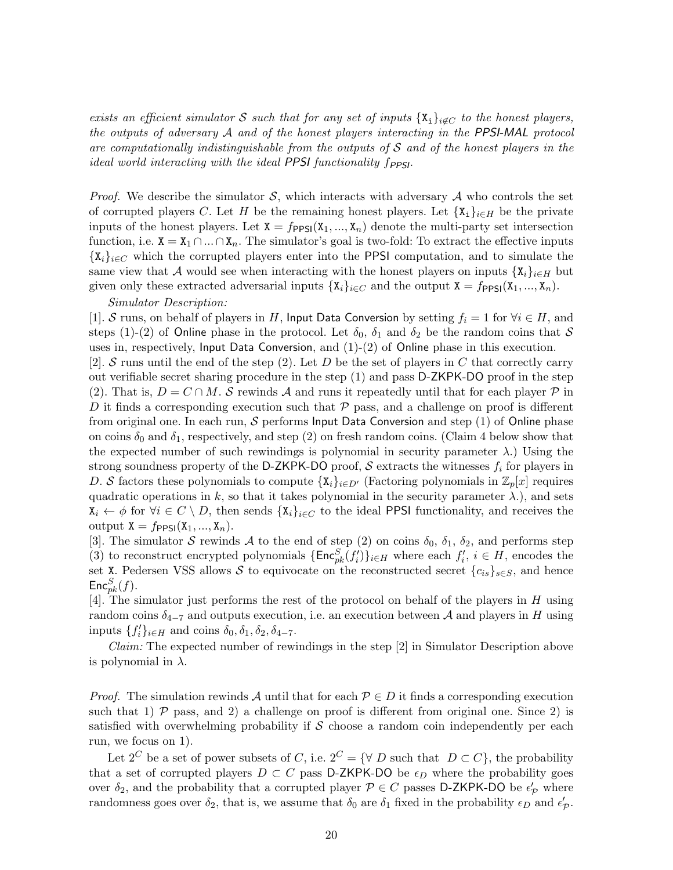exists an efficient simulator S such that for any set of inputs  $\{X_i\}_{i\in\mathbb{C}}$  to the honest players, the outputs of adversary  $A$  and of the honest players interacting in the PPSI-MAL protocol are computationally indistinguishable from the outputs of S and of the honest players in the ideal world interacting with the ideal PPSI functionality  $f_{PPSI}$ .

*Proof.* We describe the simulator S, which interacts with adversary A who controls the set of corrupted players C. Let H be the remaining honest players. Let  $\{X_i\}_{i\in H}$  be the private inputs of the honest players. Let  $X = f_{PPS1}(X_1, ..., X_n)$  denote the multi-party set intersection function, i.e.  $X = X_1 \cap ... \cap X_n$ . The simulator's goal is two-fold: To extract the effective inputs  $\{X_i\}_{i\in\mathbb{C}}$  which the corrupted players enter into the PPSI computation, and to simulate the same view that A would see when interacting with the honest players on inputs  $\{X_i\}_{i\in H}$  but given only these extracted adversarial inputs  $\{X_i\}_{i\in\mathbb{C}}$  and the output  $X = f_{PPSI}(X_1, ..., X_n)$ .

Simulator Description:

[1]. S runs, on behalf of players in H, Input Data Conversion by setting  $f_i = 1$  for  $\forall i \in H$ , and steps (1)-(2) of Online phase in the protocol. Let  $\delta_0$ ,  $\delta_1$  and  $\delta_2$  be the random coins that S uses in, respectively, Input Data Conversion, and  $(1)-(2)$  of Online phase in this execution.

[2]. S runs until the end of the step (2). Let D be the set of players in C that correctly carry out verifiable secret sharing procedure in the step (1) and pass D-ZKPK-DO proof in the step (2). That is,  $D = C \cap M$ . S rewinds A and runs it repeatedly until that for each player P in D it finds a corresponding execution such that  $P$  pass, and a challenge on proof is different from original one. In each run,  $S$  performs Input Data Conversion and step (1) of Online phase on coins  $\delta_0$  and  $\delta_1$ , respectively, and step (2) on fresh random coins. (Claim 4 below show that the expected number of such rewindings is polynomial in security parameter  $\lambda$ .) Using the strong soundness property of the D-ZKPK-DO proof,  $S$  extracts the witnesses  $f_i$  for players in D. S factors these polynomials to compute  $\{X_i\}_{i\in D}$  (Factoring polynomials in  $\mathbb{Z}_p[x]$  requires quadratic operations in k, so that it takes polynomial in the security parameter  $\lambda$ .), and sets  $X_i \leftarrow \phi$  for  $\forall i \in C \setminus D$ , then sends  $\{X_i\}_{i \in C}$  to the ideal PPSI functionality, and receives the output  $X = f_{PPS1}(X_1, ..., X_n)$ .

[3]. The simulator S rewinds A to the end of step (2) on coins  $\delta_0$ ,  $\delta_1$ ,  $\delta_2$ , and performs step (3) to reconstruct encrypted polynomials  $\{\mathsf{Enc}^S_{pk}(f'_i)\}_{i\in H}$  where each  $f'_i, i \in H$ , encodes the set X. Pedersen VSS allows S to equivocate on the reconstructed secret  ${c_{is}}_{s \in S}$ , and hence  $\mathsf{Enc}^S_{pk}(f)$ .

[4]. The simulator just performs the rest of the protocol on behalf of the players in H using random coins  $\delta_{4-7}$  and outputs execution, i.e. an execution between A and players in H using inputs  $\{f'_i\}_{i\in H}$  and coins  $\delta_0, \delta_1, \delta_2, \delta_{4-7}$ .

Claim: The expected number of rewindings in the step [2] in Simulator Description above is polynomial in  $\lambda$ .

*Proof.* The simulation rewinds A until that for each  $P \in D$  it finds a corresponding execution such that 1)  $\mathcal P$  pass, and 2) a challenge on proof is different from original one. Since 2) is satisfied with overwhelming probability if  $\mathcal S$  choose a random coin independently per each run, we focus on 1).

Let  $2^C$  be a set of power subsets of C, i.e.  $2^C = \{ \forall D \text{ such that } D \subset C \}$ , the probability that a set of corrupted players  $D \subset C$  pass D-ZKPK-DO be  $\epsilon_D$  where the probability goes over  $\delta_2$ , and the probability that a corrupted player  $P \in C$  passes D-ZKPK-DO be  $\epsilon'_{\cal{P}}$  where randomness goes over  $\delta_2$ , that is, we assume that  $\delta_0$  are  $\delta_1$  fixed in the probability  $\epsilon_D$  and  $\epsilon'_D$ .